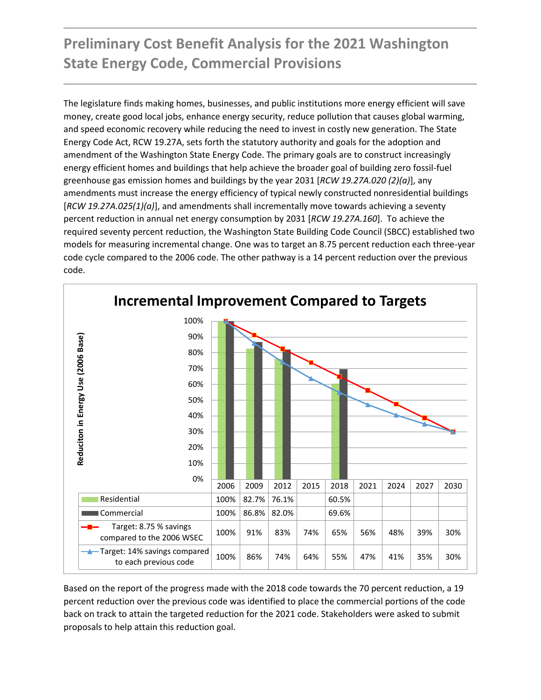# **Preliminary Cost Benefit Analysis for the 2021 Washington State Energy Code, Commercial Provisions**

The legislature finds making homes, businesses, and public institutions more energy efficient will save money, create good local jobs, enhance energy security, reduce pollution that causes global warming, and speed economic recovery while reducing the need to invest in costly new generation. The State Energy Code Act, RCW 19.27A, sets forth the statutory authority and goals for the adoption and amendment of the Washington State Energy Code. The primary goals are to construct increasingly energy efficient homes and buildings that help achieve the broader goal of building zero fossil-fuel greenhouse gas emission homes and buildings by the year 2031 [*RCW 19.27A.020 (2)(a)*], any amendments must increase the energy efficiency of typical newly constructed nonresidential buildings [*RCW 19.27A.025(1)(a)*], and amendments shall incrementally move towards achieving a seventy percent reduction in annual net energy consumption by 2031 [*RCW 19.27A.160*]. To achieve the required seventy percent reduction, the Washington State Building Code Council (SBCC) established two models for measuring incremental change. One was to target an 8.75 percent reduction each three-year code cycle compared to the 2006 code. The other pathway is a 14 percent reduction over the previous code.



Based on the report of the progress made with the 2018 code towards the 70 percent reduction, a 19 percent reduction over the previous code was identified to place the commercial portions of the code back on track to attain the targeted reduction for the 2021 code. Stakeholders were asked to submit proposals to help attain this reduction goal.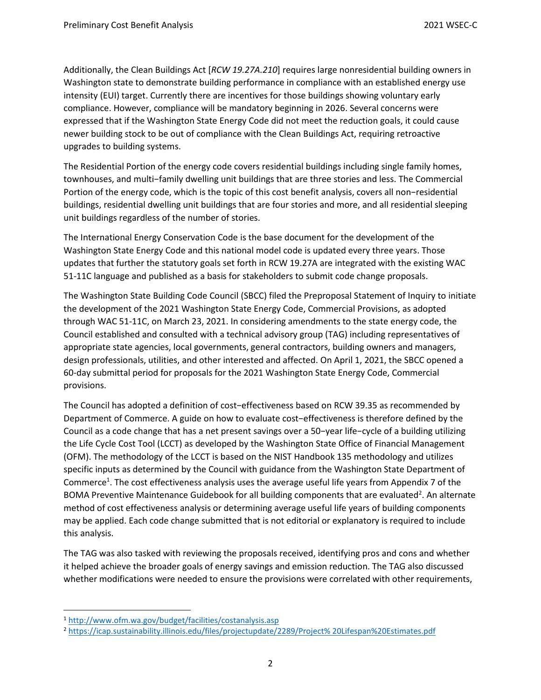Additionally, the Clean Buildings Act [*RCW 19.27A.210*] requires large nonresidential building owners in Washington state to demonstrate building performance in compliance with an established [energy use](https://youtu.be/H1JLGkvwEyw)  [intensity \(EUI\)](https://youtu.be/H1JLGkvwEyw) target. Currently there are incentives for those buildings showing voluntary early compliance. However, compliance will be mandatory beginning in 2026. Several concerns were expressed that if the Washington State Energy Code did not meet the reduction goals, it could cause newer building stock to be out of compliance with the Clean Buildings Act, requiring retroactive upgrades to building systems.

The Residential Portion of the energy code covers residential buildings including single family homes, townhouses, and multi−family dwelling unit buildings that are three stories and less. The Commercial Portion of the energy code, which is the topic of this cost benefit analysis, covers all non−residential buildings, residential dwelling unit buildings that are four stories and more, and all residential sleeping unit buildings regardless of the number of stories.

The International Energy Conservation Code is the base document for the development of the Washington State Energy Code and this national model code is updated every three years. Those updates that further the statutory goals set forth in RCW 19.27A are integrated with the existing WAC 51-11C language and published as a basis for stakeholders to submit code change proposals.

The Washington State Building Code Council (SBCC) filed the Preproposal Statement of Inquiry to initiate the development of the 2021 Washington State Energy Code, Commercial Provisions, as adopted through WAC 51-11C, on March 23, 2021. In considering amendments to the state energy code, the Council established and consulted with a technical advisory group (TAG) including representatives of appropriate state agencies, local governments, general contractors, building owners and managers, design professionals, utilities, and other interested and affected. On April 1, 2021, the SBCC opened a 60-day submittal period for proposals for the 2021 Washington State Energy Code, Commercial provisions.

The Council has adopted a definition of cost−effectiveness based on RCW 39.35 as recommended by Department of Commerce. A guide on how to evaluate cost−effectiveness is therefore defined by the Council as a code change that has a net present savings over a 50−year life−cycle of a building utilizing the Life Cycle Cost Tool (LCCT) as developed by the Washington State Office of Financial Management (OFM). The methodology of the LCCT is based on the NIST Handbook 135 methodology and utilizes specific inputs as determined by the Council with guidance from the Washington State Department of Commerce<sup>1</sup>. The cost effectiveness analysis uses the average useful life years from Appendix 7 of the BOMA Preventive Maintenance Guidebook for all building components that are evaluated<sup>2</sup>. An alternate method of cost effectiveness analysis or determining average useful life years of building components may be applied. Each code change submitted that is not editorial or explanatory is required to include this analysis.

The TAG was also tasked with reviewing the proposals received, identifying pros and cons and whether it helped achieve the broader goals of energy savings and emission reduction. The TAG also discussed whether modifications were needed to ensure the provisions were correlated with other requirements,

<sup>1</sup> <http://www.ofm.wa.gov/budget/facilities/costanalysis.asp>

<sup>2</sup> [https://icap.sustainability.illinois.edu/files/projectupdate/2289/Project% 20Lifespan%20Estimates.pdf](https://icap.sustainability.illinois.edu/files/projectupdate/2289/Project%25%2020Lifespan%20Estimates.pdf)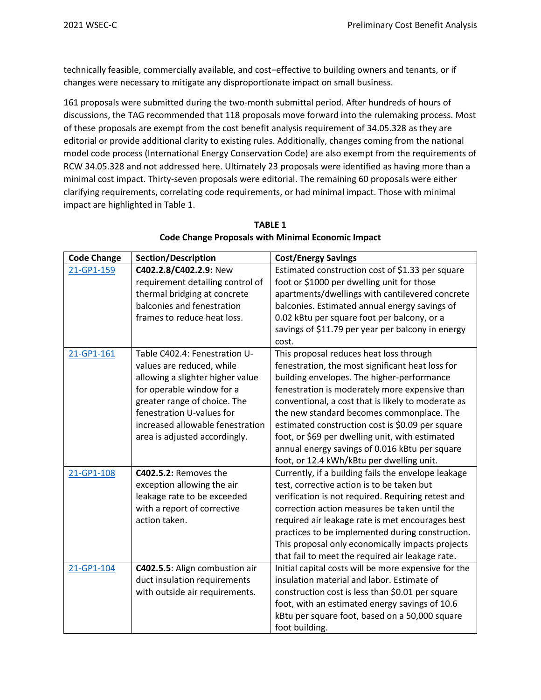technically feasible, commercially available, and cost−effective to building owners and tenants, or if changes were necessary to mitigate any disproportionate impact on small business.

161 proposals were submitted during the two-month submittal period. After hundreds of hours of discussions, the TAG recommended that 118 proposals move forward into the rulemaking process. Most of these proposals are exempt from the cost benefit analysis requirement of 34.05.328 as they are editorial or provide additional clarity to existing rules. Additionally, changes coming from the national model code process (International Energy Conservation Code) are also exempt from the requirements of RCW 34.05.328 and not addressed here. Ultimately 23 proposals were identified as having more than a minimal cost impact. Thirty-seven proposals were editorial. The remaining 60 proposals were either clarifying requirements, correlating code requirements, or had minimal impact. Those with minimal impact are highlighted in Table 1.

| <b>Code Change</b> | <b>Section/Description</b>       | <b>Cost/Energy Savings</b>                           |  |  |  |
|--------------------|----------------------------------|------------------------------------------------------|--|--|--|
| 21-GP1-159         | C402.2.8/C402.2.9: New           | Estimated construction cost of \$1.33 per square     |  |  |  |
|                    | requirement detailing control of | foot or \$1000 per dwelling unit for those           |  |  |  |
|                    | thermal bridging at concrete     | apartments/dwellings with cantilevered concrete      |  |  |  |
|                    | balconies and fenestration       | balconies. Estimated annual energy savings of        |  |  |  |
|                    | frames to reduce heat loss.      | 0.02 kBtu per square foot per balcony, or a          |  |  |  |
|                    |                                  | savings of \$11.79 per year per balcony in energy    |  |  |  |
|                    |                                  | cost.                                                |  |  |  |
| 21-GP1-161         | Table C402.4: Fenestration U-    | This proposal reduces heat loss through              |  |  |  |
|                    | values are reduced, while        | fenestration, the most significant heat loss for     |  |  |  |
|                    | allowing a slighter higher value | building envelopes. The higher-performance           |  |  |  |
|                    | for operable window for a        | fenestration is moderately more expensive than       |  |  |  |
|                    | greater range of choice. The     | conventional, a cost that is likely to moderate as   |  |  |  |
|                    | fenestration U-values for        | the new standard becomes commonplace. The            |  |  |  |
|                    | increased allowable fenestration | estimated construction cost is \$0.09 per square     |  |  |  |
|                    | area is adjusted accordingly.    | foot, or \$69 per dwelling unit, with estimated      |  |  |  |
|                    |                                  | annual energy savings of 0.016 kBtu per square       |  |  |  |
|                    |                                  | foot, or 12.4 kWh/kBtu per dwelling unit.            |  |  |  |
| 21-GP1-108         | C402.5.2: Removes the            | Currently, if a building fails the envelope leakage  |  |  |  |
|                    | exception allowing the air       | test, corrective action is to be taken but           |  |  |  |
|                    | leakage rate to be exceeded      | verification is not required. Requiring retest and   |  |  |  |
|                    | with a report of corrective      | correction action measures be taken until the        |  |  |  |
|                    | action taken.                    | required air leakage rate is met encourages best     |  |  |  |
|                    |                                  | practices to be implemented during construction.     |  |  |  |
|                    |                                  | This proposal only economically impacts projects     |  |  |  |
|                    |                                  | that fail to meet the required air leakage rate.     |  |  |  |
| 21-GP1-104         | C402.5.5: Align combustion air   | Initial capital costs will be more expensive for the |  |  |  |
|                    | duct insulation requirements     | insulation material and labor. Estimate of           |  |  |  |
|                    | with outside air requirements.   | construction cost is less than \$0.01 per square     |  |  |  |
|                    |                                  | foot, with an estimated energy savings of 10.6       |  |  |  |
|                    |                                  | kBtu per square foot, based on a 50,000 square       |  |  |  |
|                    |                                  | foot building.                                       |  |  |  |

## **TABLE 1 Code Change Proposals with Minimal Economic Impact**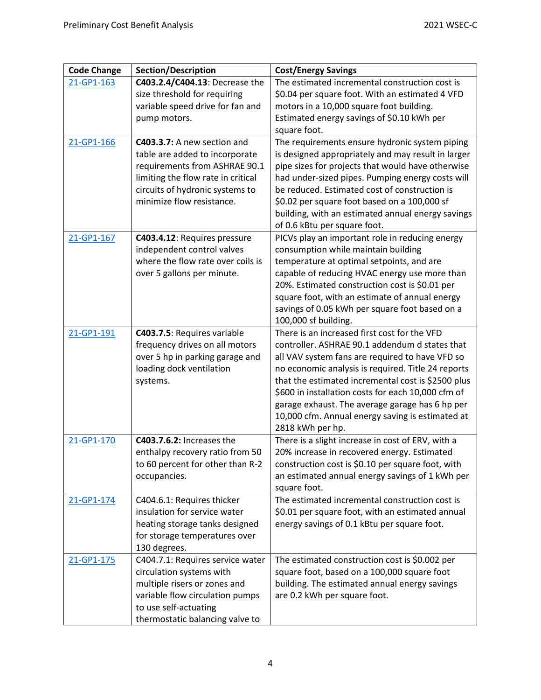| <b>Code Change</b> | <b>Section/Description</b>         | <b>Cost/Energy Savings</b>                                            |
|--------------------|------------------------------------|-----------------------------------------------------------------------|
| 21-GP1-163         | C403.2.4/C404.13: Decrease the     | The estimated incremental construction cost is                        |
|                    | size threshold for requiring       | \$0.04 per square foot. With an estimated 4 VFD                       |
|                    | variable speed drive for fan and   | motors in a 10,000 square foot building.                              |
|                    | pump motors.                       | Estimated energy savings of \$0.10 kWh per                            |
|                    |                                    | square foot.                                                          |
| 21-GP1-166         | C403.3.7: A new section and        | The requirements ensure hydronic system piping                        |
|                    | table are added to incorporate     | is designed appropriately and may result in larger                    |
|                    | requirements from ASHRAE 90.1      | pipe sizes for projects that would have otherwise                     |
|                    | limiting the flow rate in critical | had under-sized pipes. Pumping energy costs will                      |
|                    | circuits of hydronic systems to    | be reduced. Estimated cost of construction is                         |
|                    | minimize flow resistance.          | \$0.02 per square foot based on a 100,000 sf                          |
|                    |                                    | building, with an estimated annual energy savings                     |
|                    |                                    | of 0.6 kBtu per square foot.                                          |
| 21-GP1-167         | C403.4.12: Requires pressure       | PICVs play an important role in reducing energy                       |
|                    | independent control valves         | consumption while maintain building                                   |
|                    | where the flow rate over coils is  | temperature at optimal setpoints, and are                             |
|                    | over 5 gallons per minute.         | capable of reducing HVAC energy use more than                         |
|                    |                                    | 20%. Estimated construction cost is \$0.01 per                        |
|                    |                                    | square foot, with an estimate of annual energy                        |
|                    |                                    | savings of 0.05 kWh per square foot based on a                        |
|                    |                                    | 100,000 sf building.                                                  |
| 21-GP1-191         | C403.7.5: Requires variable        | There is an increased first cost for the VFD                          |
|                    | frequency drives on all motors     | controller. ASHRAE 90.1 addendum d states that                        |
|                    | over 5 hp in parking garage and    | all VAV system fans are required to have VFD so                       |
|                    | loading dock ventilation           | no economic analysis is required. Title 24 reports                    |
|                    | systems.                           | that the estimated incremental cost is \$2500 plus                    |
|                    |                                    | \$600 in installation costs for each 10,000 cfm of                    |
|                    |                                    | garage exhaust. The average garage has 6 hp per                       |
|                    |                                    | 10,000 cfm. Annual energy saving is estimated at                      |
| 21-GP1-170         | C403.7.6.2: Increases the          | 2818 kWh per hp.<br>There is a slight increase in cost of ERV, with a |
|                    | enthalpy recovery ratio from 50    | 20% increase in recovered energy. Estimated                           |
|                    | to 60 percent for other than R-2   | construction cost is \$0.10 per square foot, with                     |
|                    | occupancies.                       | an estimated annual energy savings of 1 kWh per                       |
|                    |                                    | square foot.                                                          |
| 21-GP1-174         | C404.6.1: Requires thicker         | The estimated incremental construction cost is                        |
|                    | insulation for service water       | \$0.01 per square foot, with an estimated annual                      |
|                    | heating storage tanks designed     | energy savings of 0.1 kBtu per square foot.                           |
|                    | for storage temperatures over      |                                                                       |
|                    | 130 degrees.                       |                                                                       |
| 21-GP1-175         | C404.7.1: Requires service water   | The estimated construction cost is \$0.002 per                        |
|                    | circulation systems with           | square foot, based on a 100,000 square foot                           |
|                    | multiple risers or zones and       | building. The estimated annual energy savings                         |
|                    | variable flow circulation pumps    | are 0.2 kWh per square foot.                                          |
|                    | to use self-actuating              |                                                                       |
|                    | thermostatic balancing valve to    |                                                                       |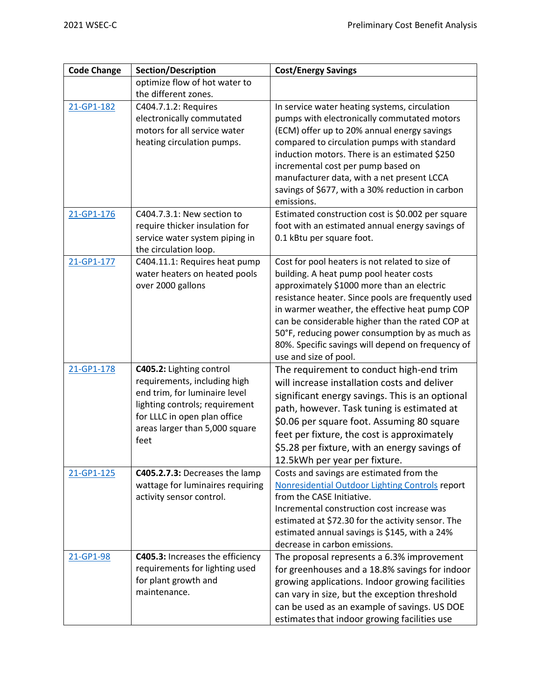| <b>Code Change</b> | <b>Section/Description</b>                                                                                                                                                                            | <b>Cost/Energy Savings</b>                                                                                                                                                                                                                                                                                                                                                                                                           |
|--------------------|-------------------------------------------------------------------------------------------------------------------------------------------------------------------------------------------------------|--------------------------------------------------------------------------------------------------------------------------------------------------------------------------------------------------------------------------------------------------------------------------------------------------------------------------------------------------------------------------------------------------------------------------------------|
|                    | optimize flow of hot water to                                                                                                                                                                         |                                                                                                                                                                                                                                                                                                                                                                                                                                      |
|                    | the different zones.                                                                                                                                                                                  |                                                                                                                                                                                                                                                                                                                                                                                                                                      |
| 21-GP1-182         | C404.7.1.2: Requires<br>electronically commutated<br>motors for all service water<br>heating circulation pumps.                                                                                       | In service water heating systems, circulation<br>pumps with electronically commutated motors<br>(ECM) offer up to 20% annual energy savings<br>compared to circulation pumps with standard<br>induction motors. There is an estimated \$250<br>incremental cost per pump based on<br>manufacturer data, with a net present LCCA<br>savings of \$677, with a 30% reduction in carbon<br>emissions.                                    |
| 21-GP1-176         | C404.7.3.1: New section to<br>require thicker insulation for<br>service water system piping in<br>the circulation loop.                                                                               | Estimated construction cost is \$0.002 per square<br>foot with an estimated annual energy savings of<br>0.1 kBtu per square foot.                                                                                                                                                                                                                                                                                                    |
| 21-GP1-177         | C404.11.1: Requires heat pump<br>water heaters on heated pools<br>over 2000 gallons                                                                                                                   | Cost for pool heaters is not related to size of<br>building. A heat pump pool heater costs<br>approximately \$1000 more than an electric<br>resistance heater. Since pools are frequently used<br>in warmer weather, the effective heat pump COP<br>can be considerable higher than the rated COP at<br>50°F, reducing power consumption by as much as<br>80%. Specific savings will depend on frequency of<br>use and size of pool. |
| 21-GP1-178         | C405.2: Lighting control<br>requirements, including high<br>end trim, for luminaire level<br>lighting controls; requirement<br>for LLLC in open plan office<br>areas larger than 5,000 square<br>feet | The requirement to conduct high-end trim<br>will increase installation costs and deliver<br>significant energy savings. This is an optional<br>path, however. Task tuning is estimated at<br>\$0.06 per square foot. Assuming 80 square<br>feet per fixture, the cost is approximately<br>\$5.28 per fixture, with an energy savings of<br>12.5 kWh per year per fixture.                                                            |
| 21-GP1-125         | C405.2.7.3: Decreases the lamp<br>wattage for luminaires requiring<br>activity sensor control.                                                                                                        | Costs and savings are estimated from the<br>Nonresidential Outdoor Lighting Controls report<br>from the CASE Initiative.<br>Incremental construction cost increase was<br>estimated at \$72.30 for the activity sensor. The<br>estimated annual savings is \$145, with a 24%<br>decrease in carbon emissions.                                                                                                                        |
| 21-GP1-98          | C405.3: Increases the efficiency<br>requirements for lighting used<br>for plant growth and<br>maintenance.                                                                                            | The proposal represents a 6.3% improvement<br>for greenhouses and a 18.8% savings for indoor<br>growing applications. Indoor growing facilities<br>can vary in size, but the exception threshold<br>can be used as an example of savings. US DOE<br>estimates that indoor growing facilities use                                                                                                                                     |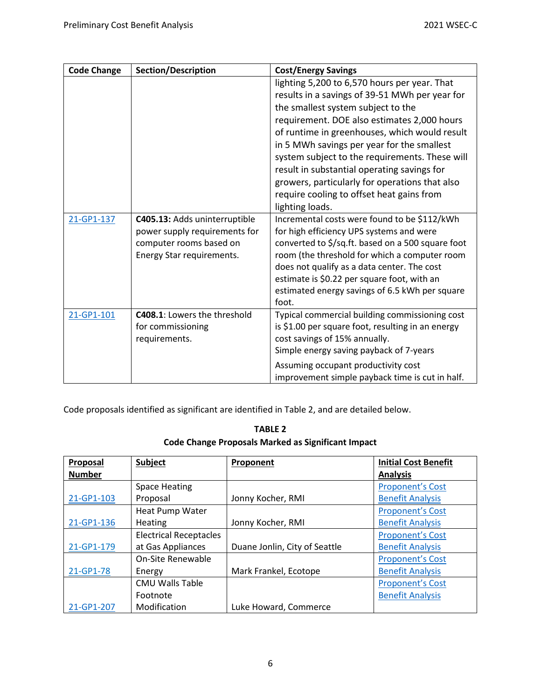| <b>Code Change</b> | <b>Section/Description</b>                                                                                             | <b>Cost/Energy Savings</b>                                                                                                                                                                                                                                                                                                                                                                                                                                                                            |
|--------------------|------------------------------------------------------------------------------------------------------------------------|-------------------------------------------------------------------------------------------------------------------------------------------------------------------------------------------------------------------------------------------------------------------------------------------------------------------------------------------------------------------------------------------------------------------------------------------------------------------------------------------------------|
|                    |                                                                                                                        | lighting 5,200 to 6,570 hours per year. That<br>results in a savings of 39-51 MWh per year for<br>the smallest system subject to the<br>requirement. DOE also estimates 2,000 hours<br>of runtime in greenhouses, which would result<br>in 5 MWh savings per year for the smallest<br>system subject to the requirements. These will<br>result in substantial operating savings for<br>growers, particularly for operations that also<br>require cooling to offset heat gains from<br>lighting loads. |
| 21-GP1-137         | C405.13: Adds uninterruptible<br>power supply requirements for<br>computer rooms based on<br>Energy Star requirements. | Incremental costs were found to be \$112/kWh<br>for high efficiency UPS systems and were<br>converted to \$/sq.ft. based on a 500 square foot<br>room (the threshold for which a computer room<br>does not qualify as a data center. The cost<br>estimate is \$0.22 per square foot, with an<br>estimated energy savings of 6.5 kWh per square<br>foot.                                                                                                                                               |
| 21-GP1-101         | <b>C408.1:</b> Lowers the threshold<br>for commissioning<br>requirements.                                              | Typical commercial building commissioning cost<br>is \$1.00 per square foot, resulting in an energy<br>cost savings of 15% annually.<br>Simple energy saving payback of 7-years<br>Assuming occupant productivity cost<br>improvement simple payback time is cut in half.                                                                                                                                                                                                                             |

Code proposals identified as significant are identified in Table 2, and are detailed below.

| <b>TABLE 2</b>                                            |
|-----------------------------------------------------------|
| <b>Code Change Proposals Marked as Significant Impact</b> |

| Proposal      | Subject                       | Proponent                     | <b>Initial Cost Benefit</b> |
|---------------|-------------------------------|-------------------------------|-----------------------------|
| <b>Number</b> |                               |                               | <b>Analysis</b>             |
|               | <b>Space Heating</b>          |                               | <b>Proponent's Cost</b>     |
| 21-GP1-103    | Proposal                      | Jonny Kocher, RMI             | <b>Benefit Analysis</b>     |
|               | Heat Pump Water               |                               | <b>Proponent's Cost</b>     |
| 21-GP1-136    | <b>Heating</b>                | Jonny Kocher, RMI             | <b>Benefit Analysis</b>     |
|               | <b>Electrical Receptacles</b> |                               | <b>Proponent's Cost</b>     |
| 21-GP1-179    | at Gas Appliances             | Duane Jonlin, City of Seattle | <b>Benefit Analysis</b>     |
|               | On-Site Renewable             |                               | <b>Proponent's Cost</b>     |
| 21-GP1-78     | Energy                        | Mark Frankel, Ecotope         | <b>Benefit Analysis</b>     |
|               | <b>CMU Walls Table</b>        |                               | <b>Proponent's Cost</b>     |
|               | Footnote                      |                               | <b>Benefit Analysis</b>     |
| 21-GP1-207    | Modification                  | Luke Howard, Commerce         |                             |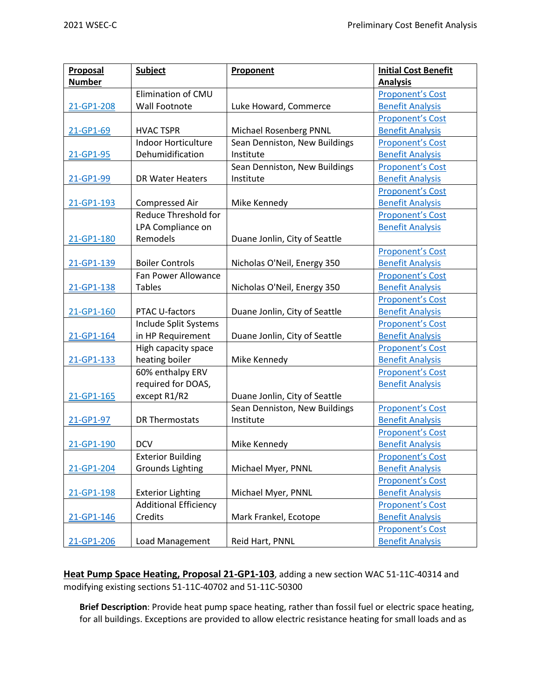| Proposal      | Subject                      | Proponent                     | <b>Initial Cost Benefit</b> |
|---------------|------------------------------|-------------------------------|-----------------------------|
| <b>Number</b> |                              |                               | <b>Analysis</b>             |
|               | Elimination of CMU           |                               | <b>Proponent's Cost</b>     |
| 21-GP1-208    | Wall Footnote                | Luke Howard, Commerce         | <b>Benefit Analysis</b>     |
|               |                              |                               | <b>Proponent's Cost</b>     |
| 21-GP1-69     | <b>HVAC TSPR</b>             | Michael Rosenberg PNNL        | <b>Benefit Analysis</b>     |
|               | <b>Indoor Horticulture</b>   | Sean Denniston, New Buildings | <b>Proponent's Cost</b>     |
| 21-GP1-95     | Dehumidification             | Institute                     | <b>Benefit Analysis</b>     |
|               |                              | Sean Denniston, New Buildings | <b>Proponent's Cost</b>     |
| 21-GP1-99     | <b>DR Water Heaters</b>      | Institute                     | <b>Benefit Analysis</b>     |
|               |                              |                               | <b>Proponent's Cost</b>     |
| 21-GP1-193    | Compressed Air               | Mike Kennedy                  | <b>Benefit Analysis</b>     |
|               | Reduce Threshold for         |                               | <b>Proponent's Cost</b>     |
|               | LPA Compliance on            |                               | <b>Benefit Analysis</b>     |
| 21-GP1-180    | Remodels                     | Duane Jonlin, City of Seattle |                             |
|               |                              |                               | <b>Proponent's Cost</b>     |
| 21-GP1-139    | <b>Boiler Controls</b>       | Nicholas O'Neil, Energy 350   | <b>Benefit Analysis</b>     |
|               | Fan Power Allowance          |                               | <b>Proponent's Cost</b>     |
| 21-GP1-138    | <b>Tables</b>                | Nicholas O'Neil, Energy 350   | <b>Benefit Analysis</b>     |
|               |                              |                               | <b>Proponent's Cost</b>     |
| 21-GP1-160    | PTAC U-factors               | Duane Jonlin, City of Seattle | <b>Benefit Analysis</b>     |
|               | Include Split Systems        |                               | <b>Proponent's Cost</b>     |
| 21-GP1-164    | in HP Requirement            | Duane Jonlin, City of Seattle | <b>Benefit Analysis</b>     |
|               | High capacity space          |                               | <b>Proponent's Cost</b>     |
| 21-GP1-133    | heating boiler               | Mike Kennedy                  | <b>Benefit Analysis</b>     |
|               | 60% enthalpy ERV             |                               | <b>Proponent's Cost</b>     |
|               | required for DOAS,           |                               | <b>Benefit Analysis</b>     |
| 21-GP1-165    | except R1/R2                 | Duane Jonlin, City of Seattle |                             |
|               |                              | Sean Denniston, New Buildings | <b>Proponent's Cost</b>     |
| 21-GP1-97     | <b>DR Thermostats</b>        | Institute                     | <b>Benefit Analysis</b>     |
|               |                              |                               | <b>Proponent's Cost</b>     |
| 21-GP1-190    | <b>DCV</b>                   | Mike Kennedy                  | <b>Benefit Analysis</b>     |
|               | <b>Exterior Building</b>     |                               | <b>Proponent's Cost</b>     |
| 21-GP1-204    | <b>Grounds Lighting</b>      | Michael Myer, PNNL            | <b>Benefit Analysis</b>     |
|               |                              |                               | <b>Proponent's Cost</b>     |
| 21-GP1-198    | <b>Exterior Lighting</b>     | Michael Myer, PNNL            | <b>Benefit Analysis</b>     |
|               | <b>Additional Efficiency</b> |                               | <b>Proponent's Cost</b>     |
| 21-GP1-146    | Credits                      | Mark Frankel, Ecotope         | <b>Benefit Analysis</b>     |
|               |                              |                               | <b>Proponent's Cost</b>     |
| 21-GP1-206    | Load Management              | Reid Hart, PNNL               | <b>Benefit Analysis</b>     |

**Heat Pump Space Heating, Proposal 21-GP1-103**, adding a new section WAC 51-11C-40314 and modifying existing sections 51-11C-40702 and 51-11C-50300

**Brief Description**: Provide heat pump space heating, rather than fossil fuel or electric space heating, for all buildings. Exceptions are provided to allow electric resistance heating for small loads and as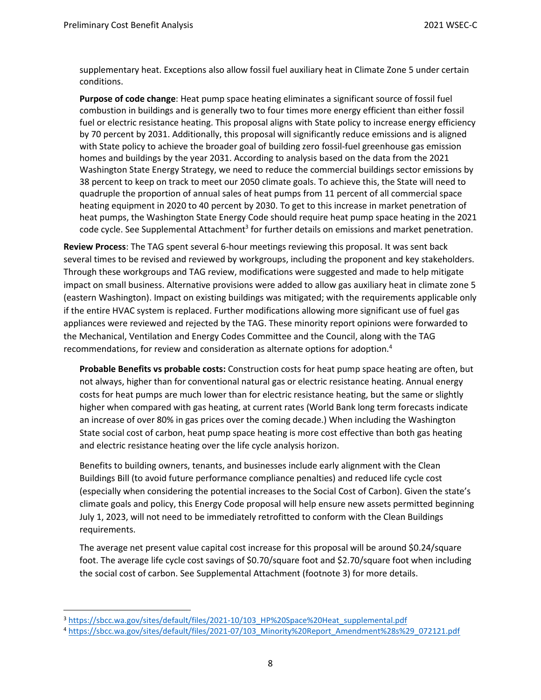supplementary heat. Exceptions also allow fossil fuel auxiliary heat in Climate Zone 5 under certain conditions.

**Purpose of code change**: Heat pump space heating eliminates a significant source of fossil fuel combustion in buildings and is generally two to four times more energy efficient than either fossil fuel or electric resistance heating. This proposal aligns with State policy to increase energy efficiency by 70 percent by 2031. Additionally, this proposal will significantly reduce emissions and is aligned with State policy to achieve the broader goal of building zero fossil-fuel greenhouse gas emission homes and buildings by the year 2031. According to analysis based on the data from the 2021 Washington State Energy Strategy, we need to reduce the commercial buildings sector emissions by 38 percent to keep on track to meet our 2050 climate goals. To achieve this, the State will need to quadruple the proportion of annual sales of heat pumps from 11 percent of all commercial space heating equipment in 2020 to 40 percent by 2030. To get to this increase in market penetration of heat pumps, the Washington State Energy Code should require heat pump space heating in the 2021 code cycle. See Supplemental Attachment<sup>3</sup> for further details on emissions and market penetration.

**Review Process**: The TAG spent several 6-hour meetings reviewing this proposal. It was sent back several times to be revised and reviewed by workgroups, including the proponent and key stakeholders. Through these workgroups and TAG review, modifications were suggested and made to help mitigate impact on small business. Alternative provisions were added to allow gas auxiliary heat in climate zone 5 (eastern Washington). Impact on existing buildings was mitigated; with the requirements applicable only if the entire HVAC system is replaced. Further modifications allowing more significant use of fuel gas appliances were reviewed and rejected by the TAG. These minority report opinions were forwarded to the Mechanical, Ventilation and Energy Codes Committee and the Council, along with the TAG recommendations, for review and consideration as alternate options for adoption.<sup>4</sup>

**Probable Benefits vs probable costs:** Construction costs for heat pump space heating are often, but not always, higher than for conventional natural gas or electric resistance heating. Annual energy costs for heat pumps are much lower than for electric resistance heating, but the same or slightly higher when compared with gas heating, at current rates (World Bank long term forecasts indicate an increase of over 80% in gas prices over the coming decade.) When including the Washington State social cost of carbon, heat pump space heating is more cost effective than both gas heating and electric resistance heating over the life cycle analysis horizon.

Benefits to building owners, tenants, and businesses include early alignment with the Clean Buildings Bill (to avoid future performance compliance penalties) and reduced life cycle cost (especially when considering the potential increases to the Social Cost of Carbon). Given the state's climate goals and policy, this Energy Code proposal will help ensure new assets permitted beginning July 1, 2023, will not need to be immediately retrofitted to conform with the Clean Buildings requirements.

The average net present value capital cost increase for this proposal will be around \$0.24/square foot. The average life cycle cost savings of \$0.70/square foot and \$2.70/square foot when including the social cost of carbon. See Supplemental Attachment (footnote 3) for more details.

<sup>&</sup>lt;sup>3</sup> [https://sbcc.wa.gov/sites/default/files/2021-10/103\\_HP%20Space%20Heat\\_supplemental.pdf](https://sbcc.wa.gov/sites/default/files/2021-10/103_HP%20Space%20Heat_supplemental.pdf)

<sup>4</sup> [https://sbcc.wa.gov/sites/default/files/2021-07/103\\_Minority%20Report\\_Amendment%28s%29\\_072121.pdf](https://sbcc.wa.gov/sites/default/files/2021-07/103_Minority%20Report_Amendment%28s%29_072121.pdf)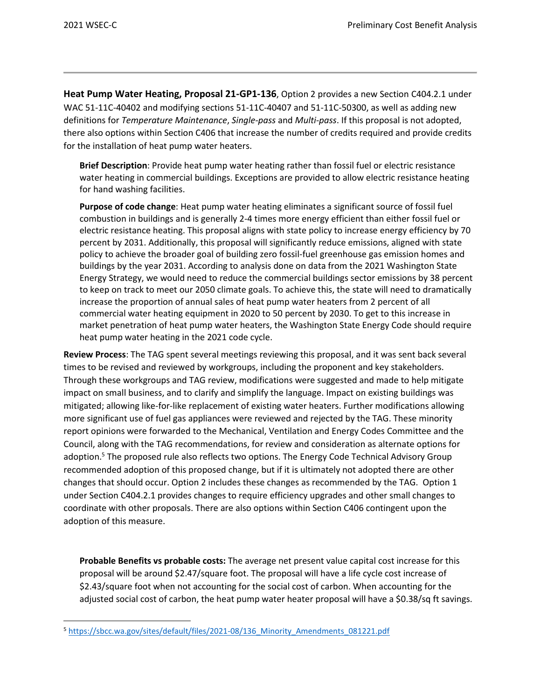**Heat Pump Water Heating, Proposal 21-GP1-136**, Option 2 provides a new Section C404.2.1 under WAC 51-11C-40402 and modifying sections 51-11C-40407 and 51-11C-50300, as well as adding new definitions for *Temperature Maintenance*, *Single-pass* and *Multi-pass*. If this proposal is not adopted, there also options within Section C406 that increase the number of credits required and provide credits for the installation of heat pump water heaters.

**Brief Description**: Provide heat pump water heating rather than fossil fuel or electric resistance water heating in commercial buildings. Exceptions are provided to allow electric resistance heating for hand washing facilities.

**Purpose of code change**: Heat pump water heating eliminates a significant source of fossil fuel combustion in buildings and is generally 2-4 times more energy efficient than either fossil fuel or electric resistance heating. This proposal aligns with state policy to increase energy efficiency by 70 percent by 2031. Additionally, this proposal will significantly reduce emissions, aligned with state policy to achieve the broader goal of building zero fossil-fuel greenhouse gas emission homes and buildings by the year 2031. According to analysis done on data from the 2021 Washington State Energy Strategy, we would need to reduce the commercial buildings sector emissions by 38 percent to keep on track to meet our 2050 climate goals. To achieve this, the state will need to dramatically increase the proportion of annual sales of heat pump water heaters from 2 percent of all commercial water heating equipment in 2020 to 50 percent by 2030. To get to this increase in market penetration of heat pump water heaters, the Washington State Energy Code should require heat pump water heating in the 2021 code cycle.

**Review Process**: The TAG spent several meetings reviewing this proposal, and it was sent back several times to be revised and reviewed by workgroups, including the proponent and key stakeholders. Through these workgroups and TAG review, modifications were suggested and made to help mitigate impact on small business, and to clarify and simplify the language. Impact on existing buildings was mitigated; allowing like-for-like replacement of existing water heaters. Further modifications allowing more significant use of fuel gas appliances were reviewed and rejected by the TAG. These minority report opinions were forwarded to the Mechanical, Ventilation and Energy Codes Committee and the Council, along with the TAG recommendations, for review and consideration as alternate options for adoption.<sup>5</sup> The proposed rule also reflects two options. The Energy Code Technical Advisory Group recommended adoption of this proposed change, but if it is ultimately not adopted there are other changes that should occur. Option 2 includes these changes as recommended by the TAG. Option 1 under Section C404.2.1 provides changes to require efficiency upgrades and other small changes to coordinate with other proposals. There are also options within Section C406 contingent upon the adoption of this measure.

**Probable Benefits vs probable costs:** The average net present value capital cost increase for this proposal will be around \$2.47/square foot. The proposal will have a life cycle cost increase of \$2.43/square foot when not accounting for the social cost of carbon. When accounting for the adjusted social cost of carbon, the heat pump water heater proposal will have a \$0.38/sq ft savings.

<sup>5</sup> https://sbcc.wa.gov/sites/default/files/2021-08/136 Minority Amendments 081221.pdf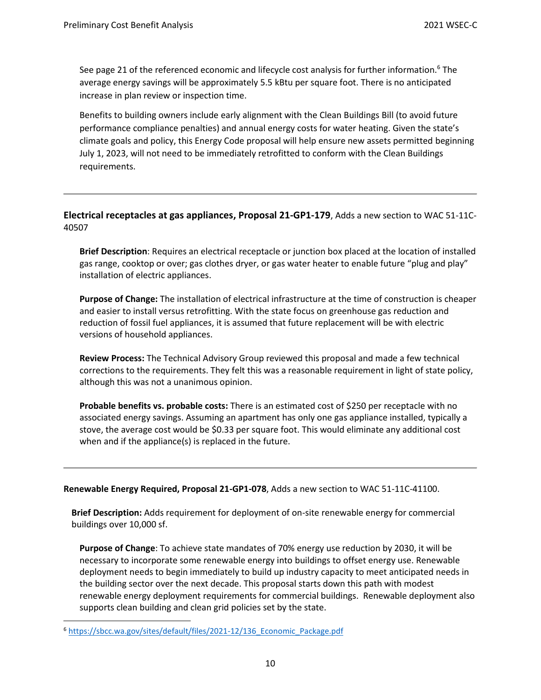See page 21 of the referenced economic and lifecycle cost analysis for further information.<sup>6</sup> The average energy savings will be approximately 5.5 kBtu per square foot. There is no anticipated increase in plan review or inspection time.

Benefits to building owners include early alignment with the Clean Buildings Bill (to avoid future performance compliance penalties) and annual energy costs for water heating. Given the state's climate goals and policy, this Energy Code proposal will help ensure new assets permitted beginning July 1, 2023, will not need to be immediately retrofitted to conform with the Clean Buildings requirements.

## **Electrical receptacles at gas appliances, Proposal 21-GP1-179**, Adds a new section to WAC 51-11C-40507

**Brief Description**: Requires an electrical receptacle or junction box placed at the location of installed gas range, cooktop or over; gas clothes dryer, or gas water heater to enable future "plug and play" installation of electric appliances.

**Purpose of Change:** The installation of electrical infrastructure at the time of construction is cheaper and easier to install versus retrofitting. With the state focus on greenhouse gas reduction and reduction of fossil fuel appliances, it is assumed that future replacement will be with electric versions of household appliances.

**Review Process:** The Technical Advisory Group reviewed this proposal and made a few technical corrections to the requirements. They felt this was a reasonable requirement in light of state policy, although this was not a unanimous opinion.

**Probable benefits vs. probable costs:** There is an estimated cost of \$250 per receptacle with no associated energy savings. Assuming an apartment has only one gas appliance installed, typically a stove, the average cost would be \$0.33 per square foot. This would eliminate any additional cost when and if the appliance(s) is replaced in the future.

#### **Renewable Energy Required, Proposal 21-GP1-078**, Adds a new section to WAC 51-11C-41100.

**Brief Description:** Adds requirement for deployment of on-site renewable energy for commercial buildings over 10,000 sf.

**Purpose of Change**: To achieve state mandates of 70% energy use reduction by 2030, it will be necessary to incorporate some renewable energy into buildings to offset energy use. Renewable deployment needs to begin immediately to build up industry capacity to meet anticipated needs in the building sector over the next decade. This proposal starts down this path with modest renewable energy deployment requirements for commercial buildings. Renewable deployment also supports clean building and clean grid policies set by the state.

<sup>&</sup>lt;sup>6</sup> https://sbcc.wa.gov/sites/default/files/2021-12/136 Economic\_Package.pdf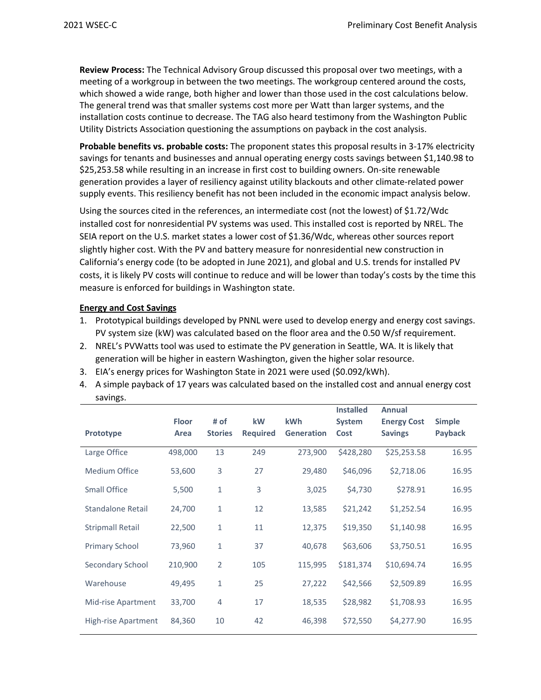**Review Process:** The Technical Advisory Group discussed this proposal over two meetings, with a meeting of a workgroup in between the two meetings. The workgroup centered around the costs, which showed a wide range, both higher and lower than those used in the cost calculations below. The general trend was that smaller systems cost more per Watt than larger systems, and the installation costs continue to decrease. The TAG also heard testimony from the Washington Public Utility Districts Association questioning the assumptions on payback in the cost analysis.

**Probable benefits vs. probable costs:** The proponent states this proposal results in 3-17% electricity savings for tenants and businesses and annual operating energy costs savings between \$1,140.98 to \$25,253.58 while resulting in an increase in first cost to building owners. On-site renewable generation provides a layer of resiliency against utility blackouts and other climate-related power supply events. This resiliency benefit has not been included in the economic impact analysis below.

Using the sources cited in the references, an intermediate cost (not the lowest) of \$1.72/Wdc installed cost for nonresidential PV systems was used. This installed cost is reported by NREL. The SEIA report on the U.S. market states a lower cost of \$1.36/Wdc, whereas other sources report slightly higher cost. With the PV and battery measure for nonresidential new construction in California's energy code (to be adopted in June 2021), and global and U.S. trends for installed PV costs, it is likely PV costs will continue to reduce and will be lower than today's costs by the time this measure is enforced for buildings in Washington state.

## **Energy and Cost Savings**

- 1. Prototypical buildings developed by PNNL were used to develop energy and energy cost savings. PV system size (kW) was calculated based on the floor area and the 0.50 W/sf requirement.
- 2. NREL's PVWatts tool was used to estimate the PV generation in Seattle, WA. It is likely that generation will be higher in eastern Washington, given the higher solar resource.
- 3. EIA's energy prices for Washington State in 2021 were used (\$0.092/kWh).
- 4. A simple payback of 17 years was calculated based on the installed cost and annual energy cost savings.

| Prototype               | <b>Floor</b><br>Area | # of<br><b>Stories</b> | kW<br><b>Required</b> | <b>kWh</b><br><b>Generation</b> | <b>Installed</b><br>System<br>Cost | Annual<br><b>Energy Cost</b><br><b>Savings</b> | <b>Simple</b><br>Payback |
|-------------------------|----------------------|------------------------|-----------------------|---------------------------------|------------------------------------|------------------------------------------------|--------------------------|
| Large Office            | 498,000              | 13                     | 249                   | 273,900                         | \$428,280                          | \$25,253.58                                    | 16.95                    |
| Medium Office           | 53,600               | 3                      | 27                    | 29,480                          | \$46,096                           | \$2,718.06                                     | 16.95                    |
| <b>Small Office</b>     | 5,500                | $\mathbf{1}$           | 3                     | 3,025                           | \$4,730                            | \$278.91                                       | 16.95                    |
| Standalone Retail       | 24,700               | 1                      | 12                    | 13,585                          | \$21,242                           | \$1,252.54                                     | 16.95                    |
| <b>Stripmall Retail</b> | 22,500               | $\mathbf{1}$           | 11                    | 12,375                          | \$19,350                           | \$1,140.98                                     | 16.95                    |
| <b>Primary School</b>   | 73,960               | $\mathbf{1}$           | 37                    | 40,678                          | \$63,606                           | \$3,750.51                                     | 16.95                    |
| Secondary School        | 210,900              | $\overline{2}$         | 105                   | 115,995                         | \$181,374                          | \$10,694.74                                    | 16.95                    |
| Warehouse               | 49,495               | 1                      | 25                    | 27,222                          | \$42,566                           | \$2,509.89                                     | 16.95                    |
| Mid-rise Apartment      | 33,700               | $\overline{4}$         | 17                    | 18,535                          | \$28,982                           | \$1,708.93                                     | 16.95                    |
| High-rise Apartment     | 84,360               | 10                     | 42                    | 46,398                          | \$72,550                           | \$4,277.90                                     | 16.95                    |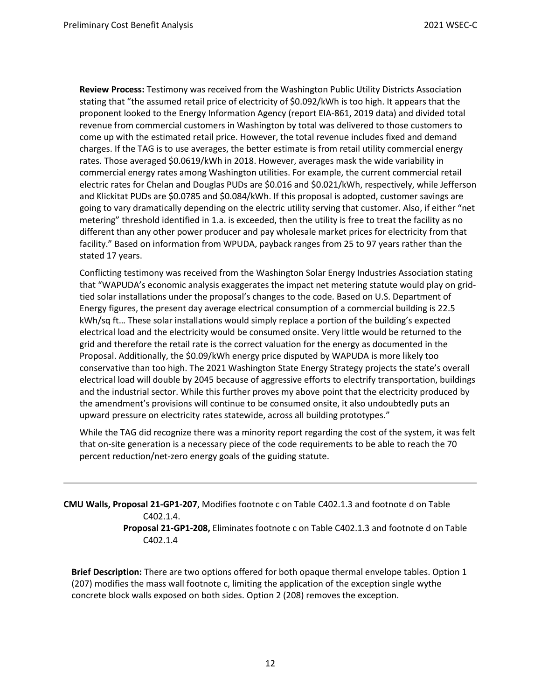**Review Process:** Testimony was received from the Washington Public Utility Districts Association stating that "the assumed retail price of electricity of \$0.092/kWh is too high. It appears that the proponent looked to the Energy Information Agency (report EIA-861, 2019 data) and divided total revenue from commercial customers in Washington by total was delivered to those customers to come up with the estimated retail price. However, the total revenue includes fixed and demand charges. If the TAG is to use averages, the better estimate is from retail utility commercial energy rates. Those averaged \$0.0619/kWh in 2018. However, averages mask the wide variability in commercial energy rates among Washington utilities. For example, the current commercial retail electric rates for Chelan and Douglas PUDs are \$0.016 and \$0.021/kWh, respectively, while Jefferson and Klickitat PUDs are \$0.0785 and \$0.084/kWh. If this proposal is adopted, customer savings are going to vary dramatically depending on the electric utility serving that customer. Also, if either "net metering" threshold identified in 1.a. is exceeded, then the utility is free to treat the facility as no different than any other power producer and pay wholesale market prices for electricity from that facility." Based on information from WPUDA, payback ranges from 25 to 97 years rather than the stated 17 years.

Conflicting testimony was received from the Washington Solar Energy Industries Association stating that "WAPUDA's economic analysis exaggerates the impact net metering statute would play on gridtied solar installations under the proposal's changes to the code. Based on U.S. Department of Energy figures, the present day average electrical consumption of a commercial building is 22.5 kWh/sq ft… These solar installations would simply replace a portion of the building's expected electrical load and the electricity would be consumed onsite. Very little would be returned to the grid and therefore the retail rate is the correct valuation for the energy as documented in the Proposal. Additionally, the \$0.09/kWh energy price disputed by WAPUDA is more likely too conservative than too high. The 2021 Washington State Energy Strategy projects the state's overall electrical load will double by 2045 because of aggressive efforts to electrify transportation, buildings and the industrial sector. While this further proves my above point that the electricity produced by the amendment's provisions will continue to be consumed onsite, it also undoubtedly puts an upward pressure on electricity rates statewide, across all building prototypes."

While the TAG did recognize there was a minority report regarding the cost of the system, it was felt that on-site generation is a necessary piece of the code requirements to be able to reach the 70 percent reduction/net-zero energy goals of the guiding statute.

**CMU Walls, Proposal 21-GP1-207**, Modifies footnote c on Table C402.1.3 and footnote d on Table C402.1.4. **Proposal 21-GP1-208,** Eliminates footnote c on Table C402.1.3 and footnote d on Table C402.1.4

**Brief Description:** There are two options offered for both opaque thermal envelope tables. Option 1 (207) modifies the mass wall footnote c, limiting the application of the exception single wythe concrete block walls exposed on both sides. Option 2 (208) removes the exception.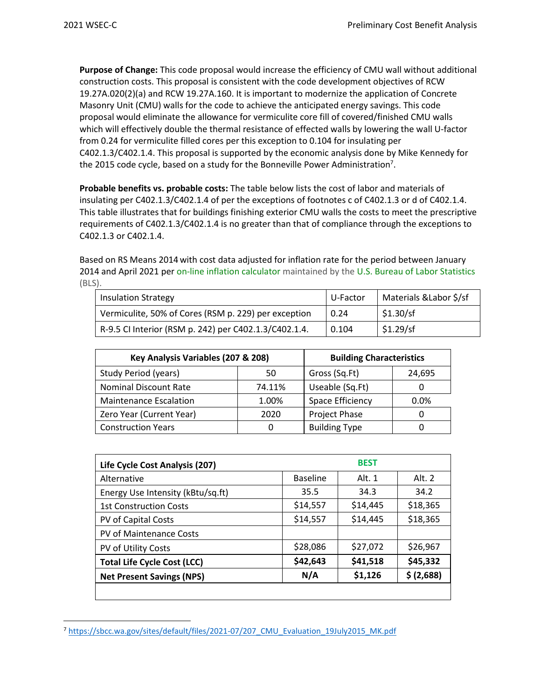**Purpose of Change:** This code proposal would increase the efficiency of CMU wall without additional construction costs. This proposal is consistent with the code development objectives of RCW 19.27A.020(2)(a) and RCW 19.27A.160. It is important to modernize the application of Concrete Masonry Unit (CMU) walls for the code to achieve the anticipated energy savings. This code proposal would eliminate the allowance for vermiculite core fill of covered/finished CMU walls which will effectively double the thermal resistance of effected walls by lowering the wall U-factor from 0.24 for vermiculite filled cores per this exception to 0.104 for insulating per C402.1.3/C402.1.4. This proposal is supported by the economic analysis done by Mike Kennedy for the 2015 code cycle, based on a study for the Bonneville Power Administration<sup>7</sup>.

**Probable benefits vs. probable costs:** The table below lists the cost of labor and materials of insulating per C402.1.3/C402.1.4 of per the exceptions of footnotes c of C402.1.3 or d of C402.1.4. This table illustrates that for buildings finishing exterior CMU walls the costs to meet the prescriptive requirements of C402.1.3/C402.1.4 is no greater than that of compliance through the exceptions to C402.1.3 or C402.1.4.

Based on RS Means 2014 with cost data adjusted for inflation rate for the period between January 2014 and April 2021 per [on-line inflation calculator](https://data.bls.gov/cgi-bin/cpicalc.pl) maintained by the [U.S. Bureau of Labor Statistics](http://stats.bls.gov/) (BLS).

| <b>Insulation Strategy</b>                            | U-Factor | Materials & Labor \$/sf |
|-------------------------------------------------------|----------|-------------------------|
| Vermiculite, 50% of Cores (RSM p. 229) per exception  | 0.24     | \$1.30/sf               |
| R-9.5 CI Interior (RSM p. 242) per C402.1.3/C402.1.4. | 0.104    | \$1.29/sf               |

| Key Analysis Variables (207 & 208) | <b>Building Characteristics</b> |                      |         |
|------------------------------------|---------------------------------|----------------------|---------|
| Study Period (years)               | 50                              | Gross (Sq.Ft)        | 24,695  |
| <b>Nominal Discount Rate</b>       | 74.11%                          | Useable (Sq.Ft)      |         |
| <b>Maintenance Escalation</b>      | 1.00%                           | Space Efficiency     | $0.0\%$ |
| Zero Year (Current Year)           | 2020                            | Project Phase        |         |
| <b>Construction Years</b><br>O     |                                 | <b>Building Type</b> |         |

| Life Cycle Cost Analysis (207)     |                 |          |            |
|------------------------------------|-----------------|----------|------------|
| Alternative                        | <b>Baseline</b> | Alt. 1   | Alt. 2     |
| Energy Use Intensity (kBtu/sq.ft)  | 35.5            | 34.3     | 34.2       |
| <b>1st Construction Costs</b>      | \$14,557        | \$14,445 | \$18,365   |
| PV of Capital Costs                | \$14,557        | \$14,445 | \$18,365   |
| PV of Maintenance Costs            |                 |          |            |
| PV of Utility Costs                | \$28,086        | \$27,072 | \$26,967   |
| <b>Total Life Cycle Cost (LCC)</b> | \$42,643        | \$41,518 | \$45,332   |
| <b>Net Present Savings (NPS)</b>   | N/A             | \$1,126  | \$ (2,688) |
|                                    |                 |          |            |

<sup>7</sup> https://sbcc.wa.gov/sites/default/files/2021-07/207 CMU\_Evaluation\_19July2015\_MK.pdf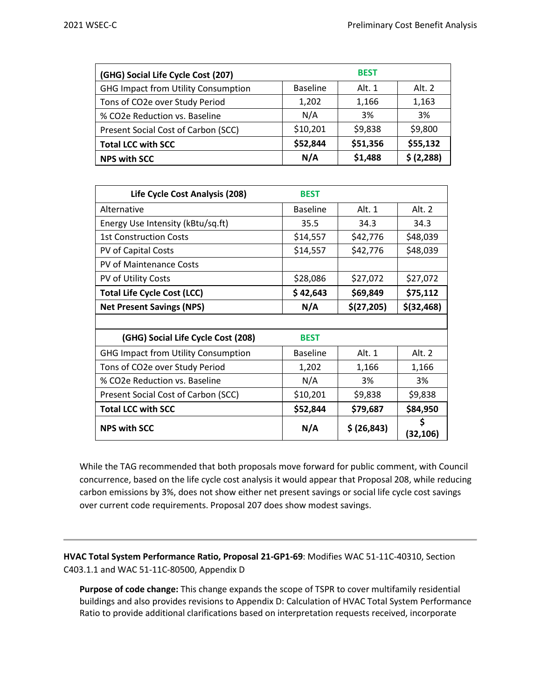| <b>BEST</b><br>(GHG) Social Life Cycle Cost (207) |                 |          |             |  |
|---------------------------------------------------|-----------------|----------|-------------|--|
| <b>GHG Impact from Utility Consumption</b>        | <b>Baseline</b> | Alt. 1   | Alt. 2      |  |
| Tons of CO2e over Study Period                    | 1,202           | 1,166    | 1,163       |  |
| % CO2e Reduction vs. Baseline                     | N/A             | 3%       | 3%          |  |
| Present Social Cost of Carbon (SCC)               | \$10,201        | \$9,838  | \$9,800     |  |
| <b>Total LCC with SCC</b>                         | \$52,844        | \$51,356 | \$55,132    |  |
| <b>NPS with SCC</b>                               | N/A             | \$1,488  | \$ (2, 288) |  |

| Life Cycle Cost Analysis (208)             | <b>BEST</b>     |              |                |
|--------------------------------------------|-----------------|--------------|----------------|
| Alternative                                | <b>Baseline</b> | Alt. 1       | Alt. 2         |
| Energy Use Intensity (kBtu/sq.ft)          | 35.5            | 34.3         | 34.3           |
| <b>1st Construction Costs</b>              | \$14,557        | \$42,776     | \$48,039       |
| PV of Capital Costs                        | \$14,557        | \$42,776     | \$48,039       |
| <b>PV of Maintenance Costs</b>             |                 |              |                |
| PV of Utility Costs                        | \$28,086        | \$27,072     | \$27,072       |
| <b>Total Life Cycle Cost (LCC)</b>         | \$42,643        | \$69,849     | \$75,112       |
| <b>Net Present Savings (NPS)</b>           | N/A             | \$(27,205)   | $$$ (32,468)   |
|                                            |                 |              |                |
| (GHG) Social Life Cycle Cost (208)         | <b>BEST</b>     |              |                |
| <b>GHG Impact from Utility Consumption</b> | <b>Baseline</b> | Alt. 1       | Alt. 2         |
| Tons of CO2e over Study Period             | 1,202           | 1,166        | 1,166          |
| % CO2e Reduction vs. Baseline              | N/A             | 3%           | 3%             |
| Present Social Cost of Carbon (SCC)        | \$10,201        | \$9,838      | \$9,838        |
| <b>Total LCC with SCC</b>                  | \$52,844        | \$79,687     | \$84,950       |
| <b>NPS with SCC</b>                        | N/A             | \$ (26, 843) | \$<br>(32,106) |

While the TAG recommended that both proposals move forward for public comment, with Council concurrence, based on the life cycle cost analysis it would appear that Proposal 208, while reducing carbon emissions by 3%, does not show either net present savings or social life cycle cost savings over current code requirements. Proposal 207 does show modest savings.

**HVAC Total System Performance Ratio, Proposal 21-GP1-69**: Modifies WAC 51-11C-40310, Section C403.1.1 and WAC 51-11C-80500, Appendix D

**Purpose of code change:** This change expands the scope of TSPR to cover multifamily residential buildings and also provides revisions to Appendix D: Calculation of HVAC Total System Performance Ratio to provide additional clarifications based on interpretation requests received, incorporate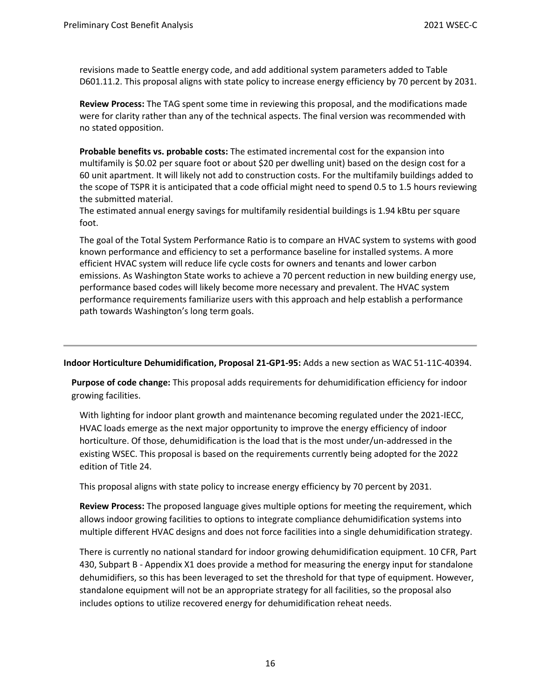revisions made to Seattle energy code, and add additional system parameters added to Table D601.11.2. This proposal aligns with state policy to increase energy efficiency by 70 percent by 2031.

**Review Process:** The TAG spent some time in reviewing this proposal, and the modifications made were for clarity rather than any of the technical aspects. The final version was recommended with no stated opposition.

**Probable benefits vs. probable costs:** The estimated incremental cost for the expansion into multifamily is \$0.02 per square foot or about \$20 per dwelling unit) based on the design cost for a 60 unit apartment. It will likely not add to construction costs. For the multifamily buildings added to the scope of TSPR it is anticipated that a code official might need to spend 0.5 to 1.5 hours reviewing the submitted material.

The estimated annual energy savings for multifamily residential buildings is 1.94 kBtu per square foot.

The goal of the Total System Performance Ratio is to compare an HVAC system to systems with good known performance and efficiency to set a performance baseline for installed systems. A more efficient HVAC system will reduce life cycle costs for owners and tenants and lower carbon emissions. As Washington State works to achieve a 70 percent reduction in new building energy use, performance based codes will likely become more necessary and prevalent. The HVAC system performance requirements familiarize users with this approach and help establish a performance path towards Washington's long term goals.

**Indoor Horticulture Dehumidification, Proposal 21-GP1-95:** Adds a new section as WAC 51-11C-40394.

**Purpose of code change:** This proposal adds requirements for dehumidification efficiency for indoor growing facilities.

With lighting for indoor plant growth and maintenance becoming regulated under the 2021-IECC, HVAC loads emerge as the next major opportunity to improve the energy efficiency of indoor horticulture. Of those, dehumidification is the load that is the most under/un-addressed in the existing WSEC. This proposal is based on the requirements currently being adopted for the 2022 edition of Title 24.

This proposal aligns with state policy to increase energy efficiency by 70 percent by 2031.

**Review Process:** The proposed language gives multiple options for meeting the requirement, which allows indoor growing facilities to options to integrate compliance dehumidification systems into multiple different HVAC designs and does not force facilities into a single dehumidification strategy.

There is currently no national standard for indoor growing dehumidification equipment. 10 CFR, Part 430, Subpart B - Appendix X1 does provide a method for measuring the energy input for standalone dehumidifiers, so this has been leveraged to set the threshold for that type of equipment. However, standalone equipment will not be an appropriate strategy for all facilities, so the proposal also includes options to utilize recovered energy for dehumidification reheat needs.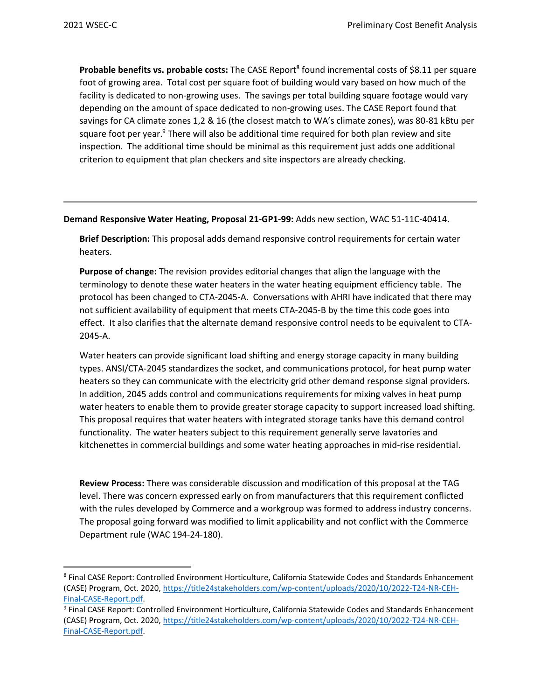Probable benefits vs. probable costs: The CASE Report<sup>8</sup> found incremental costs of \$8.11 per square foot of growing area. Total cost per square foot of building would vary based on how much of the facility is dedicated to non-growing uses. The savings per total building square footage would vary depending on the amount of space dedicated to non-growing uses. The CASE Report found that savings for CA climate zones 1,2 & 16 (the closest match to WA's climate zones), was 80-81 kBtu per square foot per year.<sup>9</sup> There will also be additional time required for both plan review and site inspection. The additional time should be minimal as this requirement just adds one additional criterion to equipment that plan checkers and site inspectors are already checking.

**Demand Responsive Water Heating, Proposal 21-GP1-99:** Adds new section, WAC 51-11C-40414.

**Brief Description:** This proposal adds demand responsive control requirements for certain water heaters.

**Purpose of change:** The revision provides editorial changes that align the language with the terminology to denote these water heaters in the water heating equipment efficiency table. The protocol has been changed to CTA-2045-A. Conversations with AHRI have indicated that there may not sufficient availability of equipment that meets CTA-2045-B by the time this code goes into effect. It also clarifies that the alternate demand responsive control needs to be equivalent to CTA-2045-A.

Water heaters can provide significant load shifting and energy storage capacity in many building types. ANSI/CTA-2045 standardizes the socket, and communications protocol, for heat pump water heaters so they can communicate with the electricity grid other demand response signal providers. In addition, 2045 adds control and communications requirements for mixing valves in heat pump water heaters to enable them to provide greater storage capacity to support increased load shifting. This proposal requires that water heaters with integrated storage tanks have this demand control functionality. The water heaters subject to this requirement generally serve lavatories and kitchenettes in commercial buildings and some water heating approaches in mid-rise residential.

**Review Process:** There was considerable discussion and modification of this proposal at the TAG level. There was concern expressed early on from manufacturers that this requirement conflicted with the rules developed by Commerce and a workgroup was formed to address industry concerns. The proposal going forward was modified to limit applicability and not conflict with the Commerce Department rule (WAC 194-24-180).

<sup>8</sup> Final CASE Report: Controlled Environment Horticulture, California Statewide Codes and Standards Enhancement (CASE) Program, Oct. 2020[, https://title24stakeholders.com/wp-content/uploads/2020/10/2022-T24-NR-CEH-](https://title24stakeholders.com/wp-content/uploads/2020/10/2022-T24-NR-CEH-Final-CASE-Report.pdf)[Final-CASE-Report.pdf.](https://title24stakeholders.com/wp-content/uploads/2020/10/2022-T24-NR-CEH-Final-CASE-Report.pdf)

<sup>9</sup> Final CASE Report: Controlled Environment Horticulture, California Statewide Codes and Standards Enhancement (CASE) Program, Oct. 2020[, https://title24stakeholders.com/wp-content/uploads/2020/10/2022-T24-NR-CEH-](https://title24stakeholders.com/wp-content/uploads/2020/10/2022-T24-NR-CEH-Final-CASE-Report.pdf)[Final-CASE-Report.pdf.](https://title24stakeholders.com/wp-content/uploads/2020/10/2022-T24-NR-CEH-Final-CASE-Report.pdf)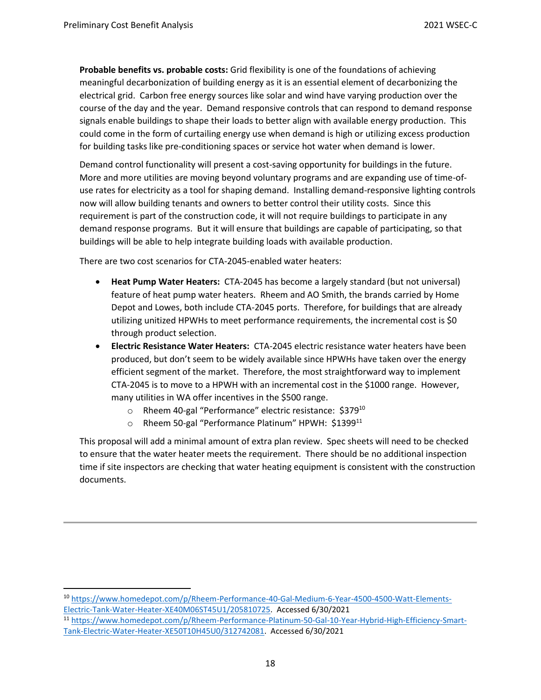**Probable benefits vs. probable costs:** Grid flexibility is one of the foundations of achieving meaningful decarbonization of building energy as it is an essential element of decarbonizing the electrical grid. Carbon free energy sources like solar and wind have varying production over the course of the day and the year. Demand responsive controls that can respond to demand response signals enable buildings to shape their loads to better align with available energy production. This could come in the form of curtailing energy use when demand is high or utilizing excess production for building tasks like pre-conditioning spaces or service hot water when demand is lower.

Demand control functionality will present a cost-saving opportunity for buildings in the future. More and more utilities are moving beyond voluntary programs and are expanding use of time-ofuse rates for electricity as a tool for shaping demand. Installing demand-responsive lighting controls now will allow building tenants and owners to better control their utility costs. Since this requirement is part of the construction code, it will not require buildings to participate in any demand response programs. But it will ensure that buildings are capable of participating, so that buildings will be able to help integrate building loads with available production.

There are two cost scenarios for CTA-2045-enabled water heaters:

- **Heat Pump Water Heaters:** CTA-2045 has become a largely standard (but not universal) feature of heat pump water heaters. Rheem and AO Smith, the brands carried by Home Depot and Lowes, both include CTA-2045 ports. Therefore, for buildings that are already utilizing unitized HPWHs to meet performance requirements, the incremental cost is \$0 through product selection.
- **Electric Resistance Water Heaters:** CTA-2045 electric resistance water heaters have been produced, but don't seem to be widely available since HPWHs have taken over the energy efficient segment of the market. Therefore, the most straightforward way to implement CTA-2045 is to move to a HPWH with an incremental cost in the \$1000 range. However, many utilities in WA offer incentives in the \$500 range.
	- $\circ$  Rheem 40-gal "Performance" electric resistance: \$379<sup>10</sup>
	- o Rheem 50-gal "Performance Platinum" HPWH: \$1399<sup>11</sup>

This proposal will add a minimal amount of extra plan review. Spec sheets will need to be checked to ensure that the water heater meets the requirement. There should be no additional inspection time if site inspectors are checking that water heating equipment is consistent with the construction documents.

<sup>10</sup> [https://www.homedepot.com/p/Rheem-Performance-40-Gal-Medium-6-Year-4500-4500-Watt-Elements-](https://www.homedepot.com/p/Rheem-Performance-40-Gal-Medium-6-Year-4500-4500-Watt-Elements-Electric-Tank-Water-Heater-XE40M06ST45U1/205810725)[Electric-Tank-Water-Heater-XE40M06ST45U1/205810725.](https://www.homedepot.com/p/Rheem-Performance-40-Gal-Medium-6-Year-4500-4500-Watt-Elements-Electric-Tank-Water-Heater-XE40M06ST45U1/205810725) Accessed 6/30/2021

<sup>11</sup> [https://www.homedepot.com/p/Rheem-Performance-Platinum-50-Gal-10-Year-Hybrid-High-Efficiency-Smart-](https://www.homedepot.com/p/Rheem-Performance-Platinum-50-Gal-10-Year-Hybrid-High-Efficiency-Smart-Tank-Electric-Water-Heater-XE50T10H45U0/312742081)[Tank-Electric-Water-Heater-XE50T10H45U0/312742081.](https://www.homedepot.com/p/Rheem-Performance-Platinum-50-Gal-10-Year-Hybrid-High-Efficiency-Smart-Tank-Electric-Water-Heater-XE50T10H45U0/312742081) Accessed 6/30/2021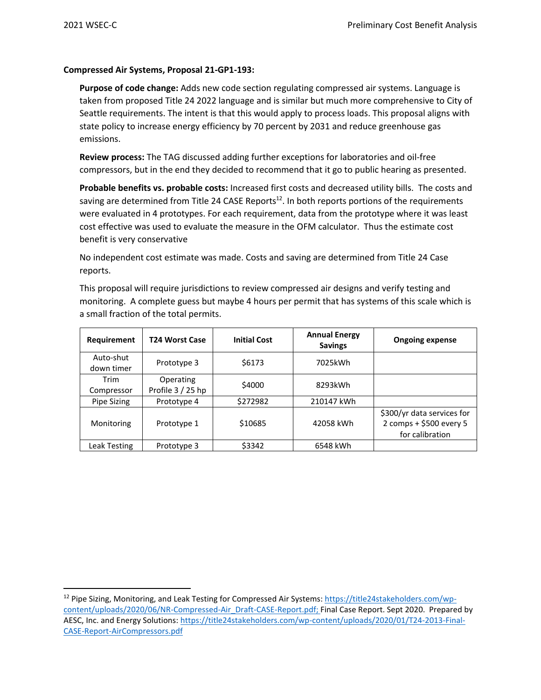## **Compressed Air Systems, Proposal 21-GP1-193:**

**Purpose of code change:** Adds new code section regulating compressed air systems. Language is taken from proposed Title 24 2022 language and is similar but much more comprehensive to City of Seattle requirements. The intent is that this would apply to process loads. This proposal aligns with state policy to increase energy efficiency by 70 percent by 2031 and reduce greenhouse gas emissions.

**Review process:** The TAG discussed adding further exceptions for laboratories and oil-free compressors, but in the end they decided to recommend that it go to public hearing as presented.

**Probable benefits vs. probable costs:** Increased first costs and decreased utility bills. The costs and saving are determined from Title 24 CASE Reports<sup>12</sup>. In both reports portions of the requirements were evaluated in 4 prototypes. For each requirement, data from the prototype where it was least cost effective was used to evaluate the measure in the OFM calculator. Thus the estimate cost benefit is very conservative

No independent cost estimate was made. Costs and saving are determined from Title 24 Case reports.

This proposal will require jurisdictions to review compressed air designs and verify testing and monitoring. A complete guess but maybe 4 hours per permit that has systems of this scale which is a small fraction of the total permits.

| Requirement             | T24 Worst Case                 | <b>Initial Cost</b> | <b>Annual Energy</b><br><b>Savings</b> | <b>Ongoing expense</b>                                                   |
|-------------------------|--------------------------------|---------------------|----------------------------------------|--------------------------------------------------------------------------|
| Auto-shut<br>down timer | Prototype 3                    | \$6173              | 7025kWh                                |                                                                          |
| Trim<br>Compressor      | Operating<br>Profile 3 / 25 hp | \$4000              | 8293kWh                                |                                                                          |
| Pipe Sizing             | Prototype 4                    | \$272982            | 210147 kWh                             |                                                                          |
| Monitoring              | Prototype 1                    | \$10685             | 42058 kWh                              | \$300/yr data services for<br>2 comps + \$500 every 5<br>for calibration |
| Leak Testing            | Prototype 3                    | \$3342              | 6548 kWh                               |                                                                          |

<sup>&</sup>lt;sup>12</sup> Pipe Sizing, Monitoring, and Leak Testing for Compressed Air Systems: [https://title24stakeholders.com/wp](https://title24stakeholders.com/wp-content/uploads/2020/06/NR-Compressed-Air_Draft-CASE-Report.pdf)[content/uploads/2020/06/NR-Compressed-Air\\_Draft-CASE-Report.pdf;](https://title24stakeholders.com/wp-content/uploads/2020/06/NR-Compressed-Air_Draft-CASE-Report.pdf) Final Case Report. Sept 2020. Prepared by AESC, Inc. and Energy Solutions: [https://title24stakeholders.com/wp-content/uploads/2020/01/T24-2013-Final-](https://title24stakeholders.com/wp-content/uploads/2020/01/T24-2013-Final-CASE-Report-AirCompressors.pdf)[CASE-Report-AirCompressors.pdf](https://title24stakeholders.com/wp-content/uploads/2020/01/T24-2013-Final-CASE-Report-AirCompressors.pdf)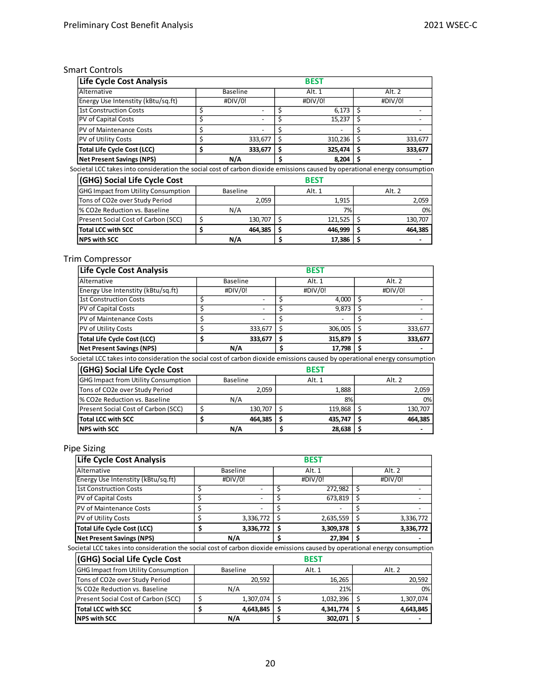## Smart Controls

| <b>Life Cycle Cost Analysis</b>                                                                                            |               |    | <b>BEST</b> |        |         |
|----------------------------------------------------------------------------------------------------------------------------|---------------|----|-------------|--------|---------|
| Alternative                                                                                                                | Baseline      |    | Alt. 1      | Alt. 2 |         |
| Energy Use Intenstity (kBtu/sq.ft)                                                                                         | #DIV/0!       |    | #DIV/0!     |        | #DIV/0! |
| <b>1st Construction Costs</b>                                                                                              | \$<br>-       | \$ | 6,173       | \$     |         |
| PV of Capital Costs                                                                                                        | \$<br>٠       | \$ | 15,237      | S      |         |
| PV of Maintenance Costs                                                                                                    | \$            | Ś  |             | s      |         |
| <b>PV of Utility Costs</b>                                                                                                 | \$<br>333,677 | Ś  | 310,236     | \$     | 333,677 |
| <b>Total Life Cycle Cost (LCC)</b>                                                                                         | \$<br>333,677 | \$ | 325,474     | \$     | 333,677 |
| <b>Net Present Savings (NPS)</b>                                                                                           | N/A           | \$ | 8,204       | s      |         |
| Societal LCC takes into consideration the social cost of carbon dioxide emissions caused by operational energy consumption |               |    |             |        |         |
| (GHG) Social Life Cycle Cost                                                                                               |               |    | <b>BEST</b> |        |         |
| <b>GHG Impact from Utility Consumption</b>                                                                                 | Baseline      |    | Alt. 1      |        | Alt. 2  |
| Tons of CO2e over Study Period                                                                                             | 2,059         |    | 1,915       |        | 2,059   |
| % CO2e Reduction vs. Baseline                                                                                              | N/A           |    | 7%          |        | 0%      |
| Present Social Cost of Carbon (SCC)                                                                                        | \$<br>130,707 | Ś  | 121,525     | \$     | 130,707 |
| <b>Total LCC with SCC</b>                                                                                                  | \$<br>464,385 | \$ | 446,999     | Ś      | 464,385 |
| <b>NPS with SCC</b>                                                                                                        | N/A           | \$ | 17,386      | \$     |         |

# Trim Compressor

| Life Cycle Cost Analysis                                                                                                   |               |    | <b>BEST</b> |        |         |
|----------------------------------------------------------------------------------------------------------------------------|---------------|----|-------------|--------|---------|
| Alternative                                                                                                                | Baseline      |    | Alt. 1      | Alt. 2 |         |
| Energy Use Intenstity (kBtu/sq.ft)                                                                                         | #DIV/0!       |    | #DIV/0!     |        | #DIV/0! |
| <b>1st Construction Costs</b>                                                                                              | \$            | \$ | 4,000       | Ś      |         |
| PV of Capital Costs                                                                                                        | \$            | \$ | 9,873       |        |         |
| PV of Maintenance Costs                                                                                                    | \$            | Ś  |             | s      |         |
| PV of Utility Costs                                                                                                        | \$<br>333,677 | Ś  | 306,005     | Ś      | 333,677 |
| <b>Total Life Cycle Cost (LCC)</b>                                                                                         | \$<br>333,677 | Ś  | 315,879     | S      | 333,677 |
| <b>Net Present Savings (NPS)</b>                                                                                           | N/A           | Ś. | 17,798      | S      |         |
| Societal LCC takes into consideration the social cost of carbon dioxide emissions caused by operational energy consumption |               |    |             |        |         |
| (GHG) Social Life Cycle Cost                                                                                               |               |    | <b>BEST</b> |        |         |
| <b>GHG Impact from Utility Consumption</b>                                                                                 | Baseline      |    | Alt. 1      |        | Alt. 2  |
| Tons of CO2e over Study Period                                                                                             | 2,059         |    | 1,888       |        | 2,059   |
| % CO2e Reduction vs. Baseline                                                                                              | N/A           |    | 8%          |        | 0%      |
| Present Social Cost of Carbon (SCC)                                                                                        | \$<br>130,707 | Ś  | 119,868     | Ś      | 130,707 |
| <b>Total LCC with SCC</b>                                                                                                  | \$<br>464,385 | \$ | 435,747     | \$     | 464,385 |
| <b>NPS with SCC</b>                                                                                                        | N/A           | \$ | 28,638      | s      |         |

# Pipe Sizing

| Life Cycle Cost Analysis           | <b>BEST</b>     |  |           |  |           |
|------------------------------------|-----------------|--|-----------|--|-----------|
| <b>IAIternative</b>                | <b>Baseline</b> |  | Alt. 1    |  | Alt. $2$  |
| Energy Use Intenstity (kBtu/sq.ft) | #DIV/0!         |  | #DIV/0!   |  | #DIV/0!   |
| 1st Construction Costs             |                 |  | 272,982   |  |           |
| <b>PV</b> of Capital Costs         | -               |  | 673,819   |  |           |
| <b>IPV of Maintenance Costs</b>    |                 |  |           |  |           |
| <b>PV</b> of Utility Costs         | 3,336,772       |  | 2,635,559 |  | 3,336,772 |
| <b>Total Life Cycle Cost (LCC)</b> | 3,336,772       |  | 3,309,378 |  | 3,336,772 |
| Net Present Savings (NPS)          | N/A             |  | 27,394    |  |           |

Societal LCC takes into consideration the social cost of carbon dioxide emissions caused by operational energy consumption

| (GHG) Social Life Cycle Cost               |           | <b>BEST</b> |           |
|--------------------------------------------|-----------|-------------|-----------|
| <b>GHG Impact from Utility Consumption</b> | Baseline  | Alt. 1      | Alt. 2    |
| Tons of CO2e over Study Period             | 20.592    | 16.265      | 20,592    |
| % CO2e Reduction vs. Baseline              | N/A       | 21%         | 0%        |
| Present Social Cost of Carbon (SCC)        | 1,307,074 | 1,032,396   | 1,307,074 |
| <b>Total LCC with SCC</b>                  | 4,643,845 | 4,341,774   | 4,643,845 |
| <b>NPS with SCC</b>                        | N/A       | 302,071     |           |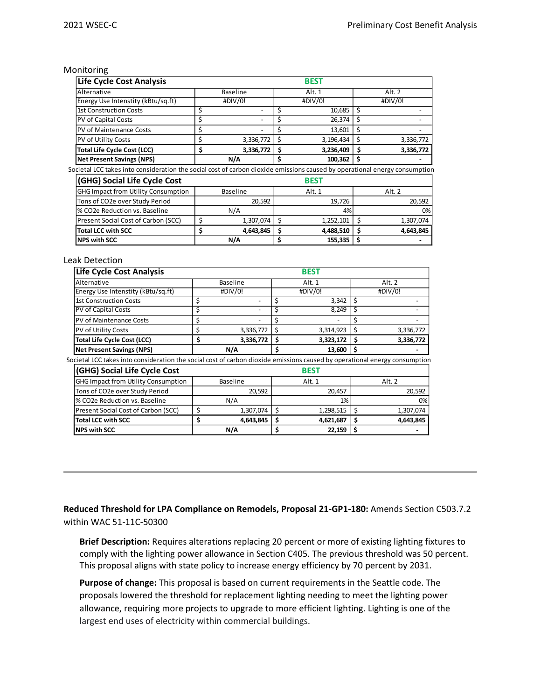Monitoring

| Life Cycle Cost Analysis                                                                                                   |                 | <b>BEST</b>     |        |           |
|----------------------------------------------------------------------------------------------------------------------------|-----------------|-----------------|--------|-----------|
| Alternative                                                                                                                | Baseline        | Alt. 1          | Alt. 2 |           |
| Energy Use Intenstity (kBtu/sq.ft)                                                                                         | #DIV/0!         | #DIV/0!         |        | #DIV/0!   |
| <b>1st Construction Costs</b>                                                                                              | \$              | \$<br>10,685    | Ś      |           |
| PV of Capital Costs                                                                                                        | \$              | \$<br>26,374    | \$     |           |
| PV of Maintenance Costs                                                                                                    | \$              | \$<br>13,601    | \$     |           |
| <b>PV of Utility Costs</b>                                                                                                 | \$<br>3,336,772 | \$<br>3,196,434 | S      | 3,336,772 |
| <b>Total Life Cycle Cost (LCC)</b>                                                                                         | \$<br>3,336,772 | \$<br>3,236,409 | S      | 3,336,772 |
| <b>Net Present Savings (NPS)</b>                                                                                           | N/A             | \$<br>100,362   | s      |           |
| Societal LCC takes into consideration the social cost of carbon dioxide emissions caused by operational energy consumption |                 |                 |        |           |
| (GHG) Social Life Cycle Cost                                                                                               |                 | <b>BEST</b>     |        |           |
| <b>GHG Impact from Utility Consumption</b>                                                                                 | <b>Baseline</b> | Alt. 1          |        | Alt. 2    |
| Tons of CO2e over Study Period                                                                                             | 20,592          | 19,726          |        | 20,592    |
| % CO2e Reduction vs. Baseline                                                                                              | N/A             | 4%              |        | 0%        |
| Present Social Cost of Carbon (SCC)                                                                                        | \$<br>1,307,074 | \$<br>1,252,101 | S      | 1,307,074 |
| <b>Total LCC with SCC</b>                                                                                                  | \$<br>4,643,845 | \$<br>4,488,510 | S      | 4,643,845 |
| <b>NPS with SCC</b>                                                                                                        | N/A             | \$<br>155,335   | s      |           |

#### Leak Detection

| Life Cycle Cost Analysis                                                                                                   |                 |    | <b>BEST</b> |        |           |
|----------------------------------------------------------------------------------------------------------------------------|-----------------|----|-------------|--------|-----------|
| Alternative                                                                                                                | Baseline        |    | Alt. 1      | Alt. 2 |           |
| Energy Use Intenstity (kBtu/sq.ft)                                                                                         | #DIV/0!         |    | #DIV/0!     |        | #DIV/0!   |
| <b>1st Construction Costs</b>                                                                                              | \$              | \$ | 3,342       | \$     |           |
| PV of Capital Costs                                                                                                        | \$              | \$ | 8,249       | \$     |           |
| <b>PV of Maintenance Costs</b>                                                                                             | \$              |    |             |        |           |
| PV of Utility Costs                                                                                                        | \$<br>3,336,772 | -S | 3,314,923   | \$     | 3,336,772 |
| <b>Total Life Cycle Cost (LCC)</b>                                                                                         | \$<br>3,336,772 | \$ | 3,323,172   | \$     | 3,336,772 |
| <b>Net Present Savings (NPS)</b>                                                                                           | N/A             | Ś  | 13,600      | Ś      |           |
| Societal LCC takes into consideration the social cost of carbon dioxide emissions caused by operational energy consumption |                 |    |             |        |           |
| (GHG) Social Life Cycle Cost                                                                                               |                 |    | <b>BEST</b> |        |           |
| <b>GHG Impact from Utility Consumption</b>                                                                                 | <b>Baseline</b> |    | Alt. 1      |        | Alt. 2    |
| Tons of CO2e over Study Period                                                                                             | 20,592          |    | 20,457      |        | 20,592    |
| % CO2e Reduction vs. Baseline                                                                                              | N/A             |    | 1%          |        | 0%        |
| Present Social Cost of Carbon (SCC)                                                                                        | \$<br>1,307,074 | Ś  | 1,298,515   | \$     | 1,307,074 |
| <b>Total LCC with SCC</b>                                                                                                  | \$<br>4,643,845 | \$ | 4,621,687   | Ś      | 4,643,845 |
| <b>NPS with SCC</b>                                                                                                        | N/A             | \$ | 22,159      | \$     |           |

**Reduced Threshold for LPA Compliance on Remodels, Proposal 21-GP1-180:** Amends Section C503.7.2 within WAC 51-11C-50300

**Brief Description:** Requires alterations replacing 20 percent or more of existing lighting fixtures to comply with the lighting power allowance in Section C405. The previous threshold was 50 percent. This proposal aligns with state policy to increase energy efficiency by 70 percent by 2031.

**Purpose of change:** This proposal is based on current requirements in the Seattle code. The proposals lowered the threshold for replacement lighting needing to meet the lighting power allowance, requiring more projects to upgrade to more efficient lighting. Lighting is one of the largest end uses of electricity within commercial buildings.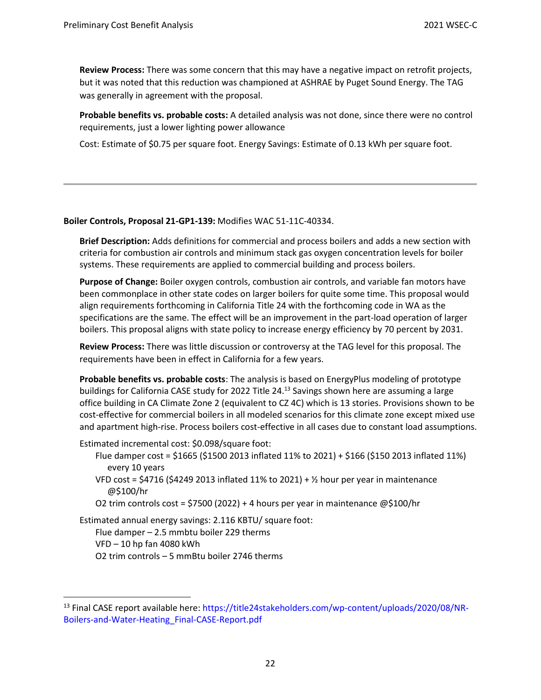**Review Process:** There was some concern that this may have a negative impact on retrofit projects, but it was noted that this reduction was championed at ASHRAE by Puget Sound Energy. The TAG was generally in agreement with the proposal.

**Probable benefits vs. probable costs:** A detailed analysis was not done, since there were no control requirements, just a lower lighting power allowance

Cost: Estimate of \$0.75 per square foot. Energy Savings: Estimate of 0.13 kWh per square foot.

## **Boiler Controls, Proposal 21-GP1-139:** Modifies WAC 51-11C-40334.

**Brief Description:** Adds definitions for commercial and process boilers and adds a new section with criteria for combustion air controls and minimum stack gas oxygen concentration levels for boiler systems. These requirements are applied to commercial building and process boilers.

**Purpose of Change:** Boiler oxygen controls, combustion air controls, and variable fan motors have been commonplace in other state codes on larger boilers for quite some time. This proposal would align requirements forthcoming in California Title 24 with the forthcoming code in WA as the specifications are the same. The effect will be an improvement in the part-load operation of larger boilers. This proposal aligns with state policy to increase energy efficiency by 70 percent by 2031.

**Review Process:** There was little discussion or controversy at the TAG level for this proposal. The requirements have been in effect in California for a few years.

**Probable benefits vs. probable costs**: The analysis is based on EnergyPlus modeling of prototype buildings for California CASE study for 2022 Title 24.<sup>13</sup> Savings shown here are assuming a large office building in CA Climate Zone 2 (equivalent to CZ 4C) which is 13 stories. Provisions shown to be cost-effective for commercial boilers in all modeled scenarios for this climate zone except mixed use and apartment high-rise. Process boilers cost-effective in all cases due to constant load assumptions.

Estimated incremental cost: \$0.098/square foot:

- Flue damper cost = \$1665 (\$1500 2013 inflated 11% to 2021) + \$166 (\$150 2013 inflated 11%) every 10 years
- VFD cost = \$4716 (\$4249 2013 inflated 11% to 2021) + ½ hour per year in maintenance @\$100/hr
- O2 trim controls cost = \$7500 (2022) + 4 hours per year in maintenance @\$100/hr

Estimated annual energy savings: 2.116 KBTU/ square foot:

Flue damper – 2.5 mmbtu boiler 229 therms

VFD – 10 hp fan 4080 kWh

O2 trim controls – 5 mmBtu boiler 2746 therms

<sup>&</sup>lt;sup>13</sup> Final CASE report available here: https://title24stakeholders.com/wp-content/uploads/2020/08/NR-Boilers-and-Water-Heating\_Final-CASE-Report.pdf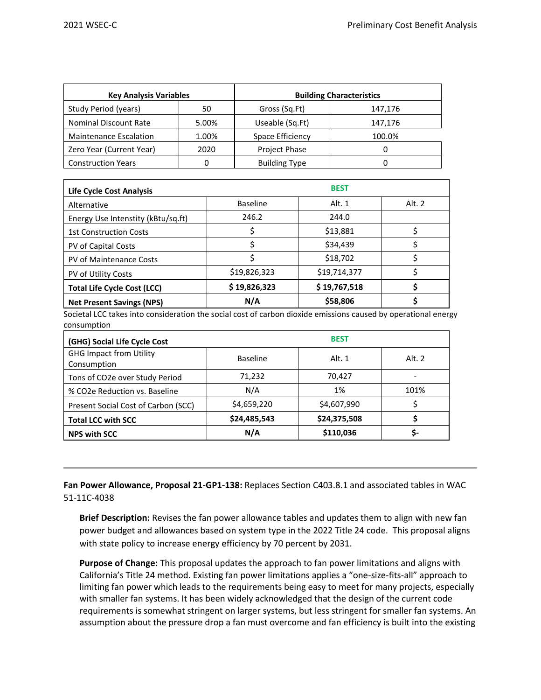| <b>Key Analysis Variables</b> |       | <b>Building Characteristics</b> |         |  |  |  |
|-------------------------------|-------|---------------------------------|---------|--|--|--|
| Study Period (years)          | 50    | Gross (Sq.Ft)                   | 147,176 |  |  |  |
| Nominal Discount Rate         | 5.00% | Useable (Sq.Ft)                 | 147,176 |  |  |  |
| <b>Maintenance Escalation</b> | 1.00% | Space Efficiency                | 100.0%  |  |  |  |
| Zero Year (Current Year)      | 2020  | Project Phase                   |         |  |  |  |
| <b>Construction Years</b>     | Ω     | <b>Building Type</b>            |         |  |  |  |

| Life Cycle Cost Analysis           | <b>BEST</b>     |              |        |  |  |  |
|------------------------------------|-----------------|--------------|--------|--|--|--|
| Alternative                        | <b>Baseline</b> | Alt. 1       | Alt. 2 |  |  |  |
| Energy Use Intenstity (kBtu/sq.ft) | 246.2           | 244.0        |        |  |  |  |
| <b>1st Construction Costs</b>      |                 | \$13,881     |        |  |  |  |
| PV of Capital Costs                |                 | \$34,439     |        |  |  |  |
| PV of Maintenance Costs            |                 | \$18,702     |        |  |  |  |
| PV of Utility Costs                | \$19,826,323    | \$19,714,377 |        |  |  |  |
| <b>Total Life Cycle Cost (LCC)</b> | \$19,826,323    | \$19,767,518 |        |  |  |  |
| <b>Net Present Savings (NPS)</b>   | N/A             | \$58,806     |        |  |  |  |

Societal LCC takes into consideration the social cost of carbon dioxide emissions caused by operational energy consumption

| (GHG) Social Life Cycle Cost                  |                 | <b>BEST</b>  |        |
|-----------------------------------------------|-----------------|--------------|--------|
| <b>GHG Impact from Utility</b><br>Consumption | <b>Baseline</b> | Alt. 1       | Alt. 2 |
| Tons of CO2e over Study Period                | 71,232          | 70,427       |        |
| % CO2e Reduction vs. Baseline                 | N/A             | 1%           | 101%   |
| Present Social Cost of Carbon (SCC)           | \$4,659,220     | \$4,607,990  |        |
| <b>Total LCC with SCC</b>                     | \$24,485,543    | \$24,375,508 |        |
| <b>NPS with SCC</b>                           | N/A             | \$110,036    |        |

**Fan Power Allowance, Proposal 21-GP1-138:** Replaces Section C403.8.1 and associated tables in WAC 51-11C-4038

**Brief Description:** Revises the fan power allowance tables and updates them to align with new fan power budget and allowances based on system type in the 2022 Title 24 code. This proposal aligns with state policy to increase energy efficiency by 70 percent by 2031.

**Purpose of Change:** This proposal updates the approach to fan power limitations and aligns with California's Title 24 method. Existing fan power limitations applies a "one-size-fits-all" approach to limiting fan power which leads to the requirements being easy to meet for many projects, especially with smaller fan systems. It has been widely acknowledged that the design of the current code requirements is somewhat stringent on larger systems, but less stringent for smaller fan systems. An assumption about the pressure drop a fan must overcome and fan efficiency is built into the existing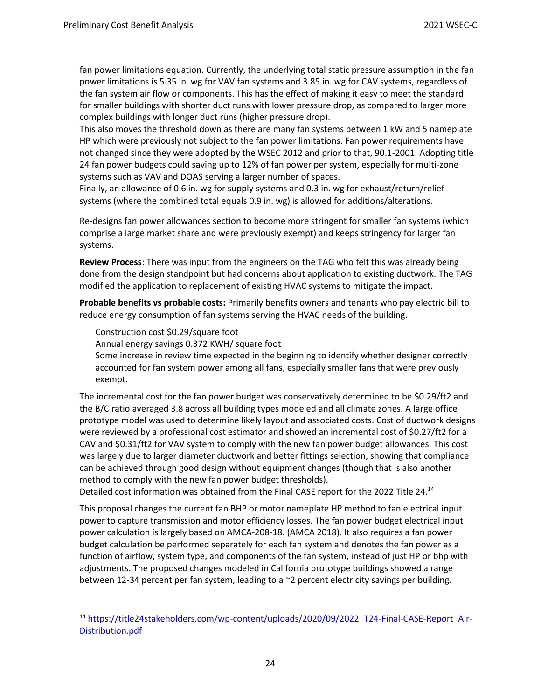fan power limitations equation. Currently, the underlying total static pressure assumption in the fan power limitations is 5.35 in. wg for VAV fan systems and 3.85 in. wg for CAV systems, regardless of the fan system air flow or components. This has the effect of making it easy to meet the standard for smaller buildings with shorter duct runs with lower pressure drop, as compared to larger more complex buildings with longer duct runs (higher pressure drop).

This also moves the threshold down as there are many fan systems between 1 kW and 5 nameplate HP which were previously not subject to the fan power limitations. Fan power requirements have not changed since they were adopted by the WSEC 2012 and prior to that, 90.1-2001. Adopting title 24 fan power budgets could saving up to 12% of fan power per system, especially for multi-zone systems such as VAV and DOAS serving a larger number of spaces.

Finally, an allowance of 0.6 in. wg for supply systems and 0.3 in. wg for exhaust/return/relief systems (where the combined total equals 0.9 in. wg) is allowed for additions/alterations.

Re-designs fan power allowances section to become more stringent for smaller fan systems (which comprise a large market share and were previously exempt) and keeps stringency for larger fan systems.

**Review Process**: There was input from the engineers on the TAG who felt this was already being done from the design standpoint but had concerns about application to existing ductwork. The TAG modified the application to replacement of existing HVAC systems to mitigate the impact.

**Probable benefits vs probable costs:** Primarily benefits owners and tenants who pay electric bill to reduce energy consumption of fan systems serving the HVAC needs of the building.

Construction cost \$0.29/square foot

Annual energy savings 0.372 KWH/ square foot

Some increase in review time expected in the beginning to identify whether designer correctly accounted for fan system power among all fans, especially smaller fans that were previously exempt.

The incremental cost for the fan power budget was conservatively determined to be \$0.29/ft2 and the B/C ratio averaged 3.8 across all building types modeled and all climate zones. A large office prototype model was used to determine likely layout and associated costs. Cost of ductwork designs were reviewed by a professional cost estimator and showed an incremental cost of \$0.27/ft2 for a CAV and \$0.31/ft2 for VAV system to comply with the new fan power budget allowances. This cost was largely due to larger diameter ductwork and better fittings selection, showing that compliance can be achieved through good design without equipment changes (though that is also another method to comply with the new fan power budget thresholds).

Detailed cost information was obtained from the Final CASE report for the 2022 Title 24.<sup>14</sup>

This proposal changes the current fan BHP or motor nameplate HP method to fan electrical input power to capture transmission and motor efficiency losses. The fan power budget electrical input power calculation is largely based on AMCA-208-18. (AMCA 2018). It also requires a fan power budget calculation be performed separately for each fan system and denotes the fan power as a function of airflow, system type, and components of the fan system, instead of just HP or bhp with adjustments. The proposed changes modeled in California prototype buildings showed a range between 12-34 percent per fan system, leading to a ~2 percent electricity savings per building.

<sup>14</sup> https://title24stakeholders.com/wp-content/uploads/2020/09/2022\_T24-Final-CASE-Report\_Air-Distribution.pdf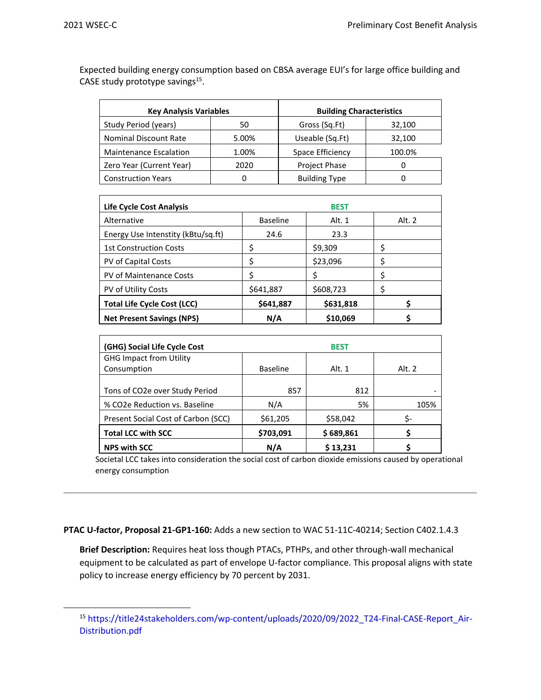Expected building energy consumption based on CBSA average EUI's for large office building and CASE study prototype savings<sup>15</sup>.

| <b>Key Analysis Variables</b> |       | <b>Building Characteristics</b> |        |  |  |
|-------------------------------|-------|---------------------------------|--------|--|--|
| Study Period (years)          | 50    | Gross (Sq.Ft)                   | 32,100 |  |  |
| Nominal Discount Rate         | 5.00% | Useable (Sq.Ft)                 | 32,100 |  |  |
| <b>Maintenance Escalation</b> | 1.00% | Space Efficiency                | 100.0% |  |  |
| Zero Year (Current Year)      | 2020  | Project Phase                   | 0      |  |  |
| <b>Construction Years</b>     |       | <b>Building Type</b>            |        |  |  |

| Life Cycle Cost Analysis           |                 | <b>BEST</b> |        |
|------------------------------------|-----------------|-------------|--------|
| Alternative                        | <b>Baseline</b> | Alt. 1      | Alt. 2 |
| Energy Use Intenstity (kBtu/sq.ft) | 24.6            | 23.3        |        |
| <b>1st Construction Costs</b>      |                 | \$9,309     |        |
| PV of Capital Costs                |                 | \$23,096    |        |
| <b>PV of Maintenance Costs</b>     |                 |             |        |
| <b>PV of Utility Costs</b>         | \$641,887       | \$608,723   |        |
| <b>Total Life Cycle Cost (LCC)</b> | \$641,887       | \$631,818   |        |
| <b>Net Present Savings (NPS)</b>   | N/A             | \$10,069    |        |

| (GHG) Social Life Cycle Cost        | <b>BEST</b>     |           |        |  |  |  |
|-------------------------------------|-----------------|-----------|--------|--|--|--|
| <b>GHG Impact from Utility</b>      |                 |           |        |  |  |  |
| Consumption                         | <b>Baseline</b> | Alt. 1    | Alt. 2 |  |  |  |
|                                     |                 |           |        |  |  |  |
| Tons of CO2e over Study Period      | 857             | 812       |        |  |  |  |
| % CO2e Reduction vs. Baseline       | N/A             | 5%        | 105%   |  |  |  |
| Present Social Cost of Carbon (SCC) | \$61,205        | \$58,042  |        |  |  |  |
| <b>Total LCC with SCC</b>           | \$703,091       | \$689,861 |        |  |  |  |
| <b>NPS with SCC</b>                 | N/A             | \$13,231  |        |  |  |  |

Societal LCC takes into consideration the social cost of carbon dioxide emissions caused by operational energy consumption

**PTAC U-factor, Proposal 21-GP1-160:** Adds a new section to WAC 51-11C-40214; Section C402.1.4.3

**Brief Description:** Requires heat loss though PTACs, PTHPs, and other through-wall mechanical equipment to be calculated as part of envelope U-factor compliance. This proposal aligns with state policy to increase energy efficiency by 70 percent by 2031.

<sup>15</sup> https://title24stakeholders.com/wp-content/uploads/2020/09/2022\_T24-Final-CASE-Report\_Air-Distribution.pdf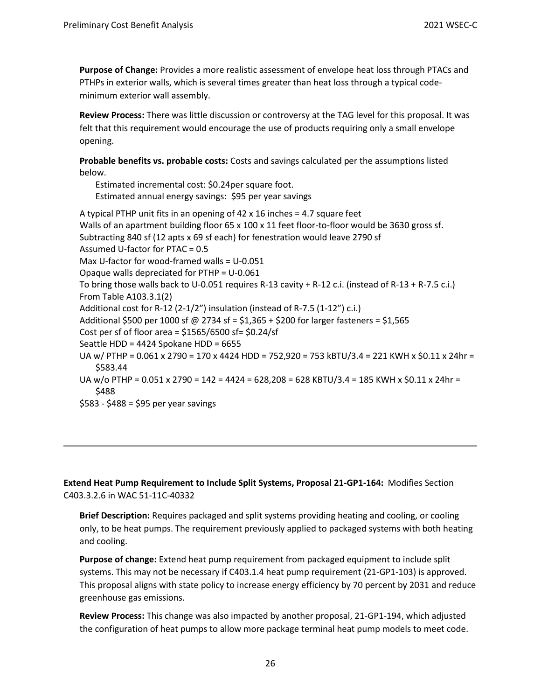**Purpose of Change:** Provides a more realistic assessment of envelope heat loss through PTACs and PTHPs in exterior walls, which is several times greater than heat loss through a typical codeminimum exterior wall assembly.

**Review Process:** There was little discussion or controversy at the TAG level for this proposal. It was felt that this requirement would encourage the use of products requiring only a small envelope opening.

**Probable benefits vs. probable costs:** Costs and savings calculated per the assumptions listed below.

Estimated incremental cost: \$0.24per square foot. Estimated annual energy savings: \$95 per year savings A typical PTHP unit fits in an opening of 42 x 16 inches = 4.7 square feet Walls of an apartment building floor 65 x 100 x 11 feet floor-to-floor would be 3630 gross sf. Subtracting 840 sf (12 apts x 69 sf each) for fenestration would leave 2790 sf Assumed U-factor for PTAC = 0.5 Max U-factor for wood-framed walls = U-0.051 Opaque walls depreciated for PTHP = U-0.061 To bring those walls back to U-0.051 requires R-13 cavity + R-12 c.i. (instead of R-13 + R-7.5 c.i.) From Table A103.3.1(2) Additional cost for R-12 (2-1/2") insulation (instead of R-7.5 (1-12") c.i.) Additional \$500 per 1000 sf @ 2734 sf = \$1,365 + \$200 for larger fasteners = \$1,565 Cost per sf of floor area =  $$1565/6500$  sf=  $$0.24/sf$ Seattle HDD = 4424 Spokane HDD = 6655 UA w/ PTHP = 0.061 x 2790 = 170 x 4424 HDD = 752,920 = 753 kBTU/3.4 = 221 KWH x \$0.11 x 24hr = \$583.44 UA w/o PTHP =  $0.051 \times 2790 = 142 = 4424 = 628,208 = 628$  KBTU/3.4 = 185 KWH x \$0.11 x 24hr = \$488 \$583 - \$488 = \$95 per year savings

**Extend Heat Pump Requirement to Include Split Systems, Proposal 21-GP1-164:** Modifies Section C403.3.2.6 in WAC 51-11C-40332

**Brief Description:** Requires packaged and split systems providing heating and cooling, or cooling only, to be heat pumps. The requirement previously applied to packaged systems with both heating and cooling.

**Purpose of change:** Extend heat pump requirement from packaged equipment to include split systems. This may not be necessary if C403.1.4 heat pump requirement (21-GP1-103) is approved. This proposal aligns with state policy to increase energy efficiency by 70 percent by 2031 and reduce greenhouse gas emissions.

**Review Process:** This change was also impacted by another proposal, 21-GP1-194, which adjusted the configuration of heat pumps to allow more package terminal heat pump models to meet code.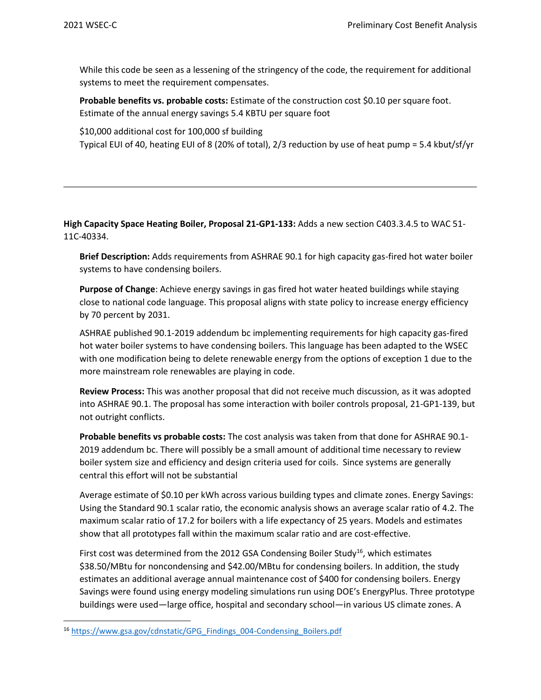While this code be seen as a lessening of the stringency of the code, the requirement for additional systems to meet the requirement compensates.

**Probable benefits vs. probable costs:** Estimate of the construction cost \$0.10 per square foot. Estimate of the annual energy savings 5.4 KBTU per square foot

\$10,000 additional cost for 100,000 sf building

Typical EUI of 40, heating EUI of 8 (20% of total), 2/3 reduction by use of heat pump = 5.4 kbut/sf/yr

**High Capacity Space Heating Boiler, Proposal 21-GP1-133:** Adds a new section C403.3.4.5 to WAC 51- 11C-40334.

**Brief Description:** Adds requirements from ASHRAE 90.1 for high capacity gas-fired hot water boiler systems to have condensing boilers.

**Purpose of Change**: Achieve energy savings in gas fired hot water heated buildings while staying close to national code language. This proposal aligns with state policy to increase energy efficiency by 70 percent by 2031.

ASHRAE published 90.1-2019 addendum bc implementing requirements for high capacity gas-fired hot water boiler systems to have condensing boilers. This language has been adapted to the WSEC with one modification being to delete renewable energy from the options of exception 1 due to the more mainstream role renewables are playing in code.

**Review Process:** This was another proposal that did not receive much discussion, as it was adopted into ASHRAE 90.1. The proposal has some interaction with boiler controls proposal, 21-GP1-139, but not outright conflicts.

**Probable benefits vs probable costs:** The cost analysis was taken from that done for ASHRAE 90.1- 2019 addendum bc. There will possibly be a small amount of additional time necessary to review boiler system size and efficiency and design criteria used for coils. Since systems are generally central this effort will not be substantial

Average estimate of \$0.10 per kWh across various building types and climate zones. Energy Savings: Using the Standard 90.1 scalar ratio, the economic analysis shows an average scalar ratio of 4.2. The maximum scalar ratio of 17.2 for boilers with a life expectancy of 25 years. Models and estimates show that all prototypes fall within the maximum scalar ratio and are cost-effective.

First cost was determined from the 2012 GSA Condensing Boiler Study<sup>16</sup>, which estimates \$38.50/MBtu for noncondensing and \$42.00/MBtu for condensing boilers. In addition, the study estimates an additional average annual maintenance cost of \$400 for condensing boilers. Energy Savings were found using energy modeling simulations run using DOE's EnergyPlus. Three prototype buildings were used—large office, hospital and secondary school—in various US climate zones. A

<sup>16</sup> [https://www.gsa.gov/cdnstatic/GPG\\_Findings\\_004-Condensing\\_Boilers.pdf](https://www.gsa.gov/cdnstatic/GPG_Findings_004-Condensing_Boilers.pdf)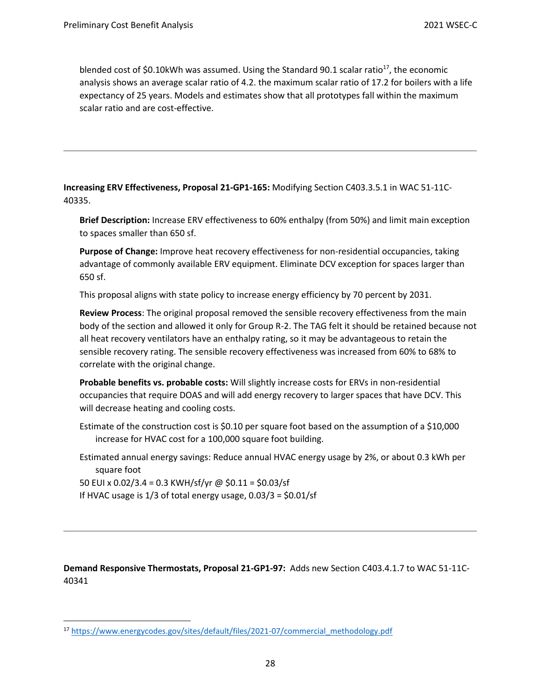blended cost of \$0.10kWh was assumed. Using the Standard 90.1 scalar ratio<sup>17</sup>, the economic analysis shows an average scalar ratio of 4.2. the maximum scalar ratio of 17.2 for boilers with a life expectancy of 25 years. Models and estimates show that all prototypes fall within the maximum scalar ratio and are cost-effective.

**Increasing ERV Effectiveness, Proposal 21-GP1-165:** Modifying Section C403.3.5.1 in WAC 51-11C-40335.

**Brief Description:** Increase ERV effectiveness to 60% enthalpy (from 50%) and limit main exception to spaces smaller than 650 sf.

**Purpose of Change:** Improve heat recovery effectiveness for non-residential occupancies, taking advantage of commonly available ERV equipment. Eliminate DCV exception for spaces larger than 650 sf.

This proposal aligns with state policy to increase energy efficiency by 70 percent by 2031.

**Review Process**: The original proposal removed the sensible recovery effectiveness from the main body of the section and allowed it only for Group R-2. The TAG felt it should be retained because not all heat recovery ventilators have an enthalpy rating, so it may be advantageous to retain the sensible recovery rating. The sensible recovery effectiveness was increased from 60% to 68% to correlate with the original change.

**Probable benefits vs. probable costs:** Will slightly increase costs for ERVs in non-residential occupancies that require DOAS and will add energy recovery to larger spaces that have DCV. This will decrease heating and cooling costs.

Estimate of the construction cost is \$0.10 per square foot based on the assumption of a \$10,000 increase for HVAC cost for a 100,000 square foot building.

Estimated annual energy savings: Reduce annual HVAC energy usage by 2%, or about 0.3 kWh per square foot

50 EUI x 0.02/3.4 = 0.3 KWH/sf/yr @ \$0.11 = \$0.03/sf

If HVAC usage is  $1/3$  of total energy usage,  $0.03/3 = $0.01/sf$ 

**Demand Responsive Thermostats, Proposal 21-GP1-97:** Adds new Section C403.4.1.7 to WAC 51-11C-40341

<sup>17</sup> [https://www.energycodes.gov/sites/default/files/2021-07/commercial\\_methodology.pdf](https://www.energycodes.gov/sites/default/files/2021-07/commercial_methodology.pdf)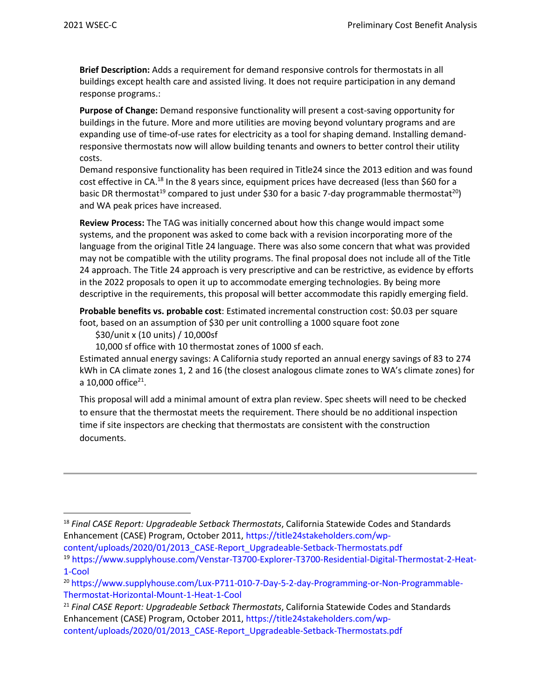**Brief Description:** Adds a requirement for demand responsive controls for thermostats in all buildings except health care and assisted living. It does not require participation in any demand response programs.:

**Purpose of Change:** Demand responsive functionality will present a cost-saving opportunity for buildings in the future. More and more utilities are moving beyond voluntary programs and are expanding use of time-of-use rates for electricity as a tool for shaping demand. Installing demandresponsive thermostats now will allow building tenants and owners to better control their utility costs.

Demand responsive functionality has been required in Title24 since the 2013 edition and was found cost effective in CA.<sup>18</sup> In the 8 years since, equipment prices have decreased (less than \$60 for a basic DR thermostat<sup>19</sup> compared to just under \$30 for a basic 7-day programmable thermostat<sup>20</sup>) and WA peak prices have increased.

**Review Process:** The TAG was initially concerned about how this change would impact some systems, and the proponent was asked to come back with a revision incorporating more of the language from the original Title 24 language. There was also some concern that what was provided may not be compatible with the utility programs. The final proposal does not include all of the Title 24 approach. The Title 24 approach is very prescriptive and can be restrictive, as evidence by efforts in the 2022 proposals to open it up to accommodate emerging technologies. By being more descriptive in the requirements, this proposal will better accommodate this rapidly emerging field.

**Probable benefits vs. probable cost**: Estimated incremental construction cost: \$0.03 per square foot, based on an assumption of \$30 per unit controlling a 1000 square foot zone

\$30/unit x (10 units) / 10,000sf

10,000 sf office with 10 thermostat zones of 1000 sf each.

Estimated annual energy savings: A California study reported an annual energy savings of 83 to 274 kWh in CA climate zones 1, 2 and 16 (the closest analogous climate zones to WA's climate zones) for a 10,000 office<sup>21</sup>.

This proposal will add a minimal amount of extra plan review. Spec sheets will need to be checked to ensure that the thermostat meets the requirement. There should be no additional inspection time if site inspectors are checking that thermostats are consistent with the construction documents.

<sup>21</sup> *Final CASE Report: Upgradeable Setback Thermostats*, California Statewide Codes and Standards Enhancement (CASE) Program, October 2011, https://title24stakeholders.com/wpcontent/uploads/2020/01/2013\_CASE-Report\_Upgradeable-Setback-Thermostats.pdf

<sup>18</sup> *Final CASE Report: Upgradeable Setback Thermostats*, California Statewide Codes and Standards Enhancement (CASE) Program, October 2011, https://title24stakeholders.com/wpcontent/uploads/2020/01/2013\_CASE-Report\_Upgradeable-Setback-Thermostats.pdf

<sup>19</sup> https://www.supplyhouse.com/Venstar-T3700-Explorer-T3700-Residential-Digital-Thermostat-2-Heat-1-Cool

<sup>20</sup> https://www.supplyhouse.com/Lux-P711-010-7-Day-5-2-day-Programming-or-Non-Programmable-Thermostat-Horizontal-Mount-1-Heat-1-Cool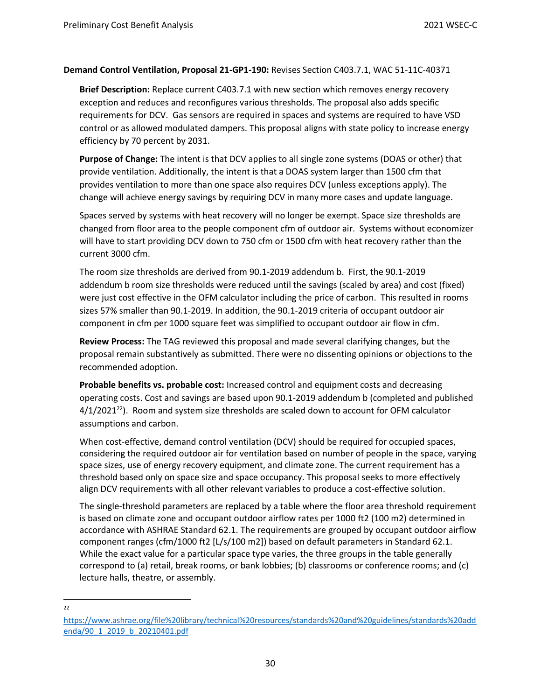## **Demand Control Ventilation, Proposal 21-GP1-190:** Revises Section C403.7.1, WAC 51-11C-40371

**Brief Description:** Replace current C403.7.1 with new section which removes energy recovery exception and reduces and reconfigures various thresholds. The proposal also adds specific requirements for DCV. Gas sensors are required in spaces and systems are required to have VSD control or as allowed modulated dampers. This proposal aligns with state policy to increase energy efficiency by 70 percent by 2031.

**Purpose of Change:** The intent is that DCV applies to all single zone systems (DOAS or other) that provide ventilation. Additionally, the intent is that a DOAS system larger than 1500 cfm that provides ventilation to more than one space also requires DCV (unless exceptions apply). The change will achieve energy savings by requiring DCV in many more cases and update language.

Spaces served by systems with heat recovery will no longer be exempt. Space size thresholds are changed from floor area to the people component cfm of outdoor air. Systems without economizer will have to start providing DCV down to 750 cfm or 1500 cfm with heat recovery rather than the current 3000 cfm.

The room size thresholds are derived from 90.1-2019 addendum b. First, the 90.1-2019 addendum b room size thresholds were reduced until the savings (scaled by area) and cost (fixed) were just cost effective in the OFM calculator including the price of carbon. This resulted in rooms sizes 57% smaller than 90.1-2019. In addition, the 90.1-2019 criteria of occupant outdoor air component in cfm per 1000 square feet was simplified to occupant outdoor air flow in cfm.

**Review Process:** The TAG reviewed this proposal and made several clarifying changes, but the proposal remain substantively as submitted. There were no dissenting opinions or objections to the recommended adoption.

**Probable benefits vs. probable cost:** Increased control and equipment costs and decreasing operating costs. Cost and savings are based upon 90.1-2019 addendum b (completed and published  $4/1/2021^{22}$ ). Room and system size thresholds are scaled down to account for OFM calculator assumptions and carbon.

When cost-effective, demand control ventilation (DCV) should be required for occupied spaces, considering the required outdoor air for ventilation based on number of people in the space, varying space sizes, use of energy recovery equipment, and climate zone. The current requirement has a threshold based only on space size and space occupancy. This proposal seeks to more effectively align DCV requirements with all other relevant variables to produce a cost-effective solution.

The single-threshold parameters are replaced by a table where the floor area threshold requirement is based on climate zone and occupant outdoor airflow rates per 1000 ft2 (100 m2) determined in accordance with ASHRAE Standard 62.1. The requirements are grouped by occupant outdoor airflow component ranges (cfm/1000 ft2 [L/s/100 m2]) based on default parameters in Standard 62.1. While the exact value for a particular space type varies, the three groups in the table generally correspond to (a) retail, break rooms, or bank lobbies; (b) classrooms or conference rooms; and (c) lecture halls, theatre, or assembly.

#### $22$

[https://www.ashrae.org/file%20library/technical%20resources/standards%20and%20guidelines/standards%20add](https://www.ashrae.org/file%20library/technical%20resources/standards%20and%20guidelines/standards%20addenda/90_1_2019_b_20210401.pdf) [enda/90\\_1\\_2019\\_b\\_20210401.pdf](https://www.ashrae.org/file%20library/technical%20resources/standards%20and%20guidelines/standards%20addenda/90_1_2019_b_20210401.pdf)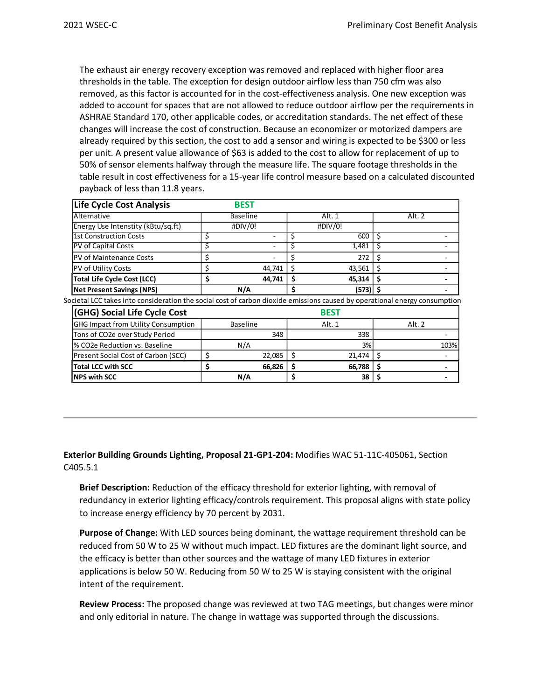The exhaust air energy recovery exception was removed and replaced with higher floor area thresholds in the table. The exception for design outdoor airflow less than 750 cfm was also removed, as this factor is accounted for in the cost-effectiveness analysis. One new exception was added to account for spaces that are not allowed to reduce outdoor airflow per the requirements in ASHRAE Standard 170, other applicable codes, or accreditation standards. The net effect of these changes will increase the cost of construction. Because an economizer or motorized dampers are already required by this section, the cost to add a sensor and wiring is expected to be \$300 or less per unit. A present value allowance of \$63 is added to the cost to allow for replacement of up to 50% of sensor elements halfway through the measure life. The square footage thresholds in the table result in cost effectiveness for a 15-year life control measure based on a calculated discounted payback of less than 11.8 years.

| Life Cycle Cost Analysis           | <b>BEST</b>     |  |         |        |  |  |
|------------------------------------|-----------------|--|---------|--------|--|--|
| Alternative                        | <b>Baseline</b> |  | Alt. 1  | Alt. 2 |  |  |
| Energy Use Intenstity (kBtu/sq.ft) | #DIV/0!         |  | #DIV/0! |        |  |  |
| <b>1st Construction Costs</b>      |                 |  | 600     |        |  |  |
| <b>PV</b> of Capital Costs         |                 |  | 1,481   |        |  |  |
| <b>PV of Maintenance Costs</b>     |                 |  | 272     |        |  |  |
| <b>PV</b> of Utility Costs         | 44,741          |  | 43,561  |        |  |  |
| <b>Total Life Cycle Cost (LCC)</b> | 44,741          |  | 45,314  |        |  |  |
| <b>Net Present Savings (NPS)</b>   | N/A             |  | (573)   |        |  |  |

Societal LCC takes into consideration the social cost of carbon dioxide emissions caused by operational energy consumption

| <b>(GHG) Social Life Cycle Cost</b>        |                 | <b>BEST</b> |        |
|--------------------------------------------|-----------------|-------------|--------|
| <b>GHG Impact from Utility Consumption</b> | <b>Baseline</b> | Alt. 1      | Alt. 2 |
| Tons of CO2e over Study Period             | 348             | 338         |        |
| <sup>1</sup> % CO2e Reduction vs. Baseline | N/A             | 3%          | 103%   |
| <b>Present Social Cost of Carbon (SCC)</b> | 22.085          | 21,474      |        |
| Total LCC with SCC                         | 66.826          | 66,788      |        |
| <b>INPS with SCC</b>                       | N/A             | 38          |        |

**Exterior Building Grounds Lighting, Proposal 21-GP1-204:** Modifies WAC 51-11C-405061, Section C405.5.1

**Brief Description:** Reduction of the efficacy threshold for exterior lighting, with removal of redundancy in exterior lighting efficacy/controls requirement. This proposal aligns with state policy to increase energy efficiency by 70 percent by 2031.

**Purpose of Change:** With LED sources being dominant, the wattage requirement threshold can be reduced from 50 W to 25 W without much impact. LED fixtures are the dominant light source, and the efficacy is better than other sources and the wattage of many LED fixtures in exterior applications is below 50 W. Reducing from 50 W to 25 W is staying consistent with the original intent of the requirement.

**Review Process:** The proposed change was reviewed at two TAG meetings, but changes were minor and only editorial in nature. The change in wattage was supported through the discussions.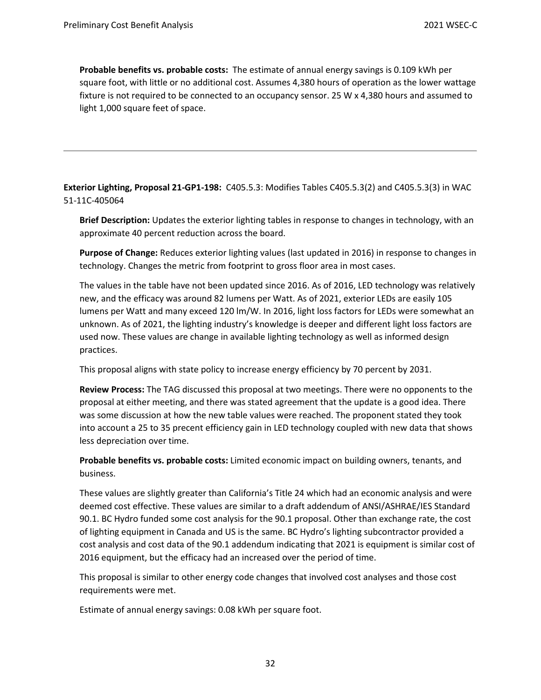**Probable benefits vs. probable costs:** The estimate of annual energy savings is 0.109 kWh per square foot, with little or no additional cost. Assumes 4,380 hours of operation as the lower wattage fixture is not required to be connected to an occupancy sensor. 25 W x 4,380 hours and assumed to light 1,000 square feet of space.

**Exterior Lighting, Proposal 21-GP1-198:** C405.5.3: Modifies Tables C405.5.3(2) and C405.5.3(3) in WAC 51-11C-405064

**Brief Description:** Updates the exterior lighting tables in response to changes in technology, with an approximate 40 percent reduction across the board.

**Purpose of Change:** Reduces exterior lighting values (last updated in 2016) in response to changes in technology. Changes the metric from footprint to gross floor area in most cases.

The values in the table have not been updated since 2016. As of 2016, LED technology was relatively new, and the efficacy was around 82 lumens per Watt. As of 2021, exterior LEDs are easily 105 lumens per Watt and many exceed 120 lm/W. In 2016, light loss factors for LEDs were somewhat an unknown. As of 2021, the lighting industry's knowledge is deeper and different light loss factors are used now. These values are change in available lighting technology as well as informed design practices.

This proposal aligns with state policy to increase energy efficiency by 70 percent by 2031.

**Review Process:** The TAG discussed this proposal at two meetings. There were no opponents to the proposal at either meeting, and there was stated agreement that the update is a good idea. There was some discussion at how the new table values were reached. The proponent stated they took into account a 25 to 35 precent efficiency gain in LED technology coupled with new data that shows less depreciation over time.

**Probable benefits vs. probable costs:** Limited economic impact on building owners, tenants, and business.

These values are slightly greater than California's Title 24 which had an economic analysis and were deemed cost effective. These values are similar to a draft addendum of ANSI/ASHRAE/IES Standard 90.1. BC Hydro funded some cost analysis for the 90.1 proposal. Other than exchange rate, the cost of lighting equipment in Canada and US is the same. BC Hydro's lighting subcontractor provided a cost analysis and cost data of the 90.1 addendum indicating that 2021 is equipment is similar cost of 2016 equipment, but the efficacy had an increased over the period of time.

This proposal is similar to other energy code changes that involved cost analyses and those cost requirements were met.

Estimate of annual energy savings: 0.08 kWh per square foot.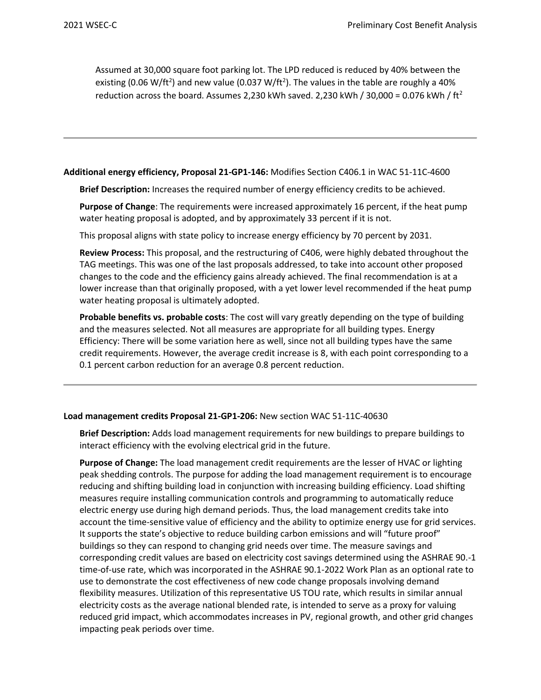Assumed at 30,000 square foot parking lot. The LPD reduced is reduced by 40% between the existing (0.06 W/ft<sup>2</sup>) and new value (0.037 W/ft<sup>2</sup>). The values in the table are roughly a 40% reduction across the board. Assumes 2,230 kWh saved. 2,230 kWh / 30,000 = 0.076 kWh / ft<sup>2</sup>

#### **Additional energy efficiency, Proposal 21-GP1-146:** Modifies Section C406.1 in WAC 51-11C-4600

**Brief Description:** Increases the required number of energy efficiency credits to be achieved.

**Purpose of Change**: The requirements were increased approximately 16 percent, if the heat pump water heating proposal is adopted, and by approximately 33 percent if it is not.

This proposal aligns with state policy to increase energy efficiency by 70 percent by 2031.

**Review Process:** This proposal, and the restructuring of C406, were highly debated throughout the TAG meetings. This was one of the last proposals addressed, to take into account other proposed changes to the code and the efficiency gains already achieved. The final recommendation is at a lower increase than that originally proposed, with a yet lower level recommended if the heat pump water heating proposal is ultimately adopted.

**Probable benefits vs. probable costs**: The cost will vary greatly depending on the type of building and the measures selected. Not all measures are appropriate for all building types. Energy Efficiency: There will be some variation here as well, since not all building types have the same credit requirements. However, the average credit increase is 8, with each point corresponding to a 0.1 percent carbon reduction for an average 0.8 percent reduction.

#### **Load management credits Proposal 21-GP1-206:** New section WAC 51-11C-40630

**Brief Description:** Adds load management requirements for new buildings to prepare buildings to interact efficiency with the evolving electrical grid in the future.

**Purpose of Change:** The load management credit requirements are the lesser of HVAC or lighting peak shedding controls. The purpose for adding the load management requirement is to encourage reducing and shifting building load in conjunction with increasing building efficiency. Load shifting measures require installing communication controls and programming to automatically reduce electric energy use during high demand periods. Thus, the load management credits take into account the time-sensitive value of efficiency and the ability to optimize energy use for grid services. It supports the state's objective to reduce building carbon emissions and will "future proof" buildings so they can respond to changing grid needs over time. The measure savings and corresponding credit values are based on electricity cost savings determined using the ASHRAE 90.-1 time-of-use rate, which was incorporated in the ASHRAE 90.1-2022 Work Plan as an optional rate to use to demonstrate the cost effectiveness of new code change proposals involving demand flexibility measures. Utilization of this representative US TOU rate, which results in similar annual electricity costs as the average national blended rate, is intended to serve as a proxy for valuing reduced grid impact, which accommodates increases in PV, regional growth, and other grid changes impacting peak periods over time.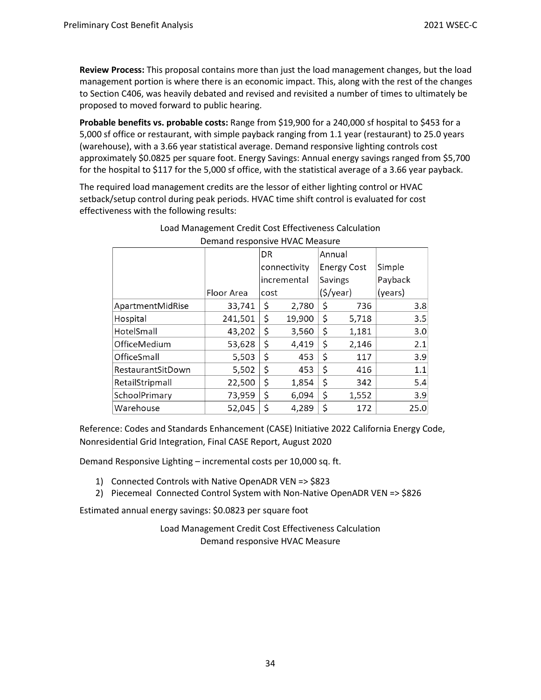**Review Process:** This proposal contains more than just the load management changes, but the load management portion is where there is an economic impact. This, along with the rest of the changes to Section C406, was heavily debated and revised and revisited a number of times to ultimately be proposed to moved forward to public hearing.

**Probable benefits vs. probable costs:** Range from \$19,900 for a 240,000 sf hospital to \$453 for a 5,000 sf office or restaurant, with simple payback ranging from 1.1 year (restaurant) to 25.0 years (warehouse), with a 3.66 year statistical average. Demand responsive lighting controls cost approximately \$0.0825 per square foot. Energy Savings: Annual energy savings ranged from \$5,700 for the hospital to \$117 for the 5,000 sf office, with the statistical average of a 3.66 year payback.

The required load management credits are the lessor of either lighting control or HVAC setback/setup control during peak periods. HVAC time shift control is evaluated for cost effectiveness with the following results:

|                    |            | DR           |        | Annual             |       |         |      |  |  |  |
|--------------------|------------|--------------|--------|--------------------|-------|---------|------|--|--|--|
|                    |            | connectivity |        | <b>Energy Cost</b> |       | Simple  |      |  |  |  |
|                    |            | incremental  |        | <b>Savings</b>     |       | Payback |      |  |  |  |
|                    | Floor Area | cost         |        | (5/year)           |       | (years) |      |  |  |  |
| ApartmentMidRise   | 33,741     | \$           | 2,780  | \$                 | 736   |         | 3.8  |  |  |  |
| Hospital           | 241,501    | \$           | 19,900 | \$                 | 5,718 |         | 3.5  |  |  |  |
| HotelSmall         | 43,202     | \$           | 3,560  | \$                 | 1,181 |         | 3.0  |  |  |  |
| OfficeMedium       | 53,628     | \$           | 4,419  | \$                 | 2,146 |         | 2.1  |  |  |  |
| <b>OfficeSmall</b> | 5,503      | \$           | 453    | \$                 | 117   |         | 3.9  |  |  |  |
| RestaurantSitDown  | 5,502      | \$           | 453    | \$                 | 416   |         | 1.1  |  |  |  |
| RetailStripmall    | 22,500     | \$           | 1,854  | \$                 | 342   |         | 5.4  |  |  |  |
| SchoolPrimary      | 73,959     | \$           | 6,094  | \$                 | 1,552 |         | 3.9  |  |  |  |
| Warehouse          | 52,045     | \$           | 4,289  | \$                 | 172   |         | 25.0 |  |  |  |

## Load Management Credit Cost Effectiveness Calculation Demand responsive HVAC Measure

Reference: Codes and Standards Enhancement (CASE) Initiative 2022 California Energy Code, Nonresidential Grid Integration, Final CASE Report, August 2020

Demand Responsive Lighting – incremental costs per 10,000 sq. ft.

- 1) Connected Controls with Native OpenADR VEN => \$823
- 2) Piecemeal Connected Control System with Non-Native OpenADR VEN => \$826

Estimated annual energy savings: \$0.0823 per square foot

Load Management Credit Cost Effectiveness Calculation Demand responsive HVAC Measure